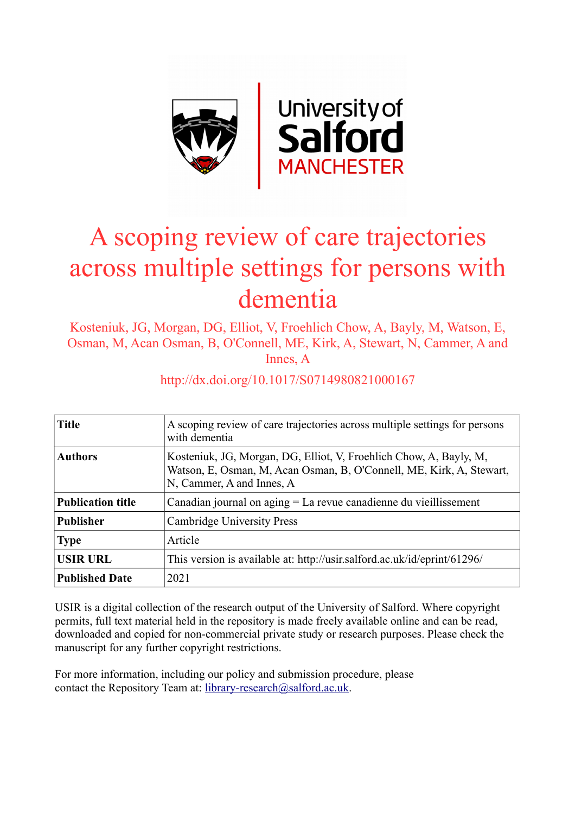

# A scoping review of care trajectories across multiple settings for persons with dementia

Kosteniuk, JG, Morgan, DG, Elliot, V, Froehlich Chow, A, Bayly, M, Watson, E, Osman, M, Acan Osman, B, O'Connell, ME, Kirk, A, Stewart, N, Cammer, A and Innes, A

| <b>Title</b>             | A scoping review of care trajectories across multiple settings for persons<br>with dementia                                                                             |
|--------------------------|-------------------------------------------------------------------------------------------------------------------------------------------------------------------------|
| <b>Authors</b>           | Kosteniuk, JG, Morgan, DG, Elliot, V, Froehlich Chow, A, Bayly, M,<br>Watson, E, Osman, M, Acan Osman, B, O'Connell, ME, Kirk, A, Stewart,<br>N, Cammer, A and Innes, A |
| <b>Publication title</b> | Canadian journal on $\text{aging} = \text{La}$ revue canadienne du vieillissement                                                                                       |
| <b>Publisher</b>         | <b>Cambridge University Press</b>                                                                                                                                       |
| <b>Type</b>              | Article                                                                                                                                                                 |
| <b>USIR URL</b>          | This version is available at: http://usir.salford.ac.uk/id/eprint/61296/                                                                                                |
| <b>Published Date</b>    | 2021                                                                                                                                                                    |

# http://dx.doi.org/10.1017/S0714980821000167

USIR is a digital collection of the research output of the University of Salford. Where copyright permits, full text material held in the repository is made freely available online and can be read, downloaded and copied for non-commercial private study or research purposes. Please check the manuscript for any further copyright restrictions.

For more information, including our policy and submission procedure, please contact the Repository Team at: [library-research@salford.ac.uk.](mailto:library-research@salford.ac.uk)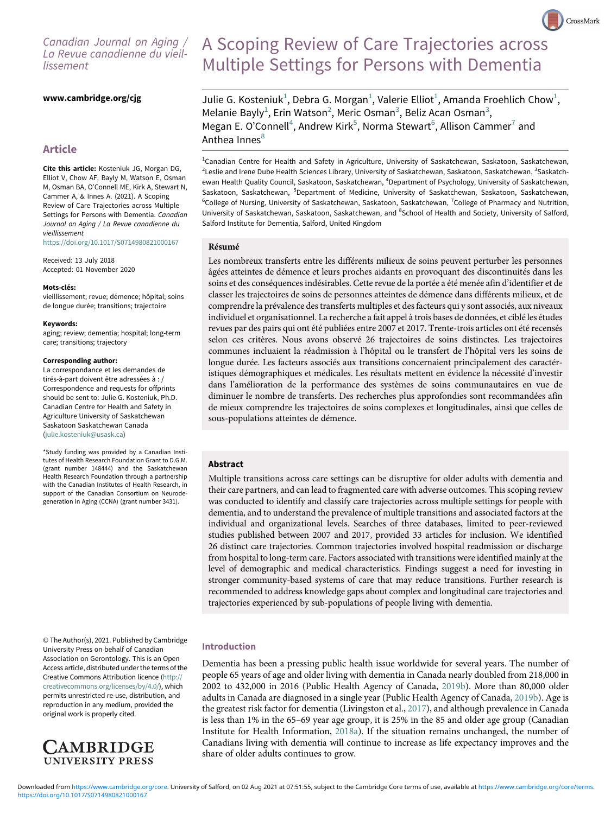# Canadian Journal on Aging / La Revue canadienne du vieillissement

# www.cambridge.org/cjg

# <span id="page-1-0"></span>Article

<span id="page-1-4"></span><span id="page-1-3"></span><span id="page-1-2"></span><span id="page-1-1"></span>Cite this article: Kosteniuk JG, Morgan DG, Elliot V, Chow AF, Bayly M, Watson E, Osman M, Osman BA, O'Connell ME, Kirk A, Stewart N, Cammer A, & Innes A. (2021). A Scoping Review of Care Trajectories across Multiple Settings for Persons with Dementia. Canadian Journal on Aging / La Revue canadienne du vieillissement

<span id="page-1-5"></span><https://doi.org/10.1017/S0714980821000167>

Received: 13 July 2018 Accepted: 01 November 2020

#### Mots-clés:

vieillissement; revue; démence; hôpital; soins de longue durée; transitions; trajectoire

#### Keywords:

aging; review; dementia; hospital; long-term care; transitions; trajectory

#### Corresponding author:

La correspondance et les demandes de tirés-à-part doivent être adressées à : / Correspondence and requests for offprints should be sent to: Julie G. Kosteniuk, Ph.D. Canadian Centre for Health and Safety in Agriculture University of Saskatchewan Saskatoon Saskatchewan Canada [\(julie.kosteniuk@usask.ca\)](mailto:julie.kosteniuk@usask.ca)

\*Study funding was provided by a Canadian Institutes of Health Research Foundation Grant to D.G.M. (grant number 148444) and the Saskatchewan Health Research Foundation through a partnership with the Canadian Institutes of Health Research, in support of the Canadian Consortium on Neurodegeneration in Aging (CCNA) (grant number 3431).

© The Author(s), 2021. Published by Cambridge University Press on behalf of Canadian Association on Gerontology. This is an Open Access article, distributed under the terms of the Creative Commons Attribution licence [\(http://](http://creativecommons.org/licenses/by/4.0/) [creativecommons.org/licenses/by/4.0/\)](http://creativecommons.org/licenses/by/4.0/), which permits unrestricted re-use, distribution, and reproduction in any medium, provided the original work is properly cited.



# A Scoping Review of Care Trajectories across Multiple Settings for Persons with Dementia

CrossMark

Julie G. Kosteniuk $^1$  $^1$ , Debra G. Morgan $^1$ , Valerie Elliot $^1$ , Amanda Froehlich Chow $^1$ , Melanie Bayly<sup>[1](#page-1-0)</sup>, Erin Watson<sup>[2](#page-1-0)</sup>, Meric Osman<sup>[3](#page-1-1)</sup>, Beliz Acan Osman<sup>3</sup>, Megan E. O'Connell<sup>[4](#page-1-2)</sup>, Andrew Kirk<sup>[5](#page-1-3)</sup>, Norma Stewart<sup>6</sup>, Allison Cammer<sup>[7](#page-1-4)</sup> and Anthea Innes<sup>[8](#page-1-5)</sup>

<sup>1</sup>Canadian Centre for Health and Safety in Agriculture, University of Saskatchewan, Saskatoon, Saskatchewan, <sup>2</sup>Leslie and Irene Dube Health Sciences Library, University of Saskatchewan, Saskatoon, Saskatchewan, <sup>3</sup>Saskatchewan Health Quality Council, Saskatoon, Saskatchewan, <sup>4</sup>Department of Psychology, University of Saskatchewan, Saskatoon, Saskatchewan, <sup>5</sup>Department of Medicine, University of Saskatchewan, Saskatoon, Saskatchewan, <sup>6</sup>College of Nursing, University of Saskatchewan, Saskatoon, Saskatchewan, <sup>7</sup>College of Pharmacy and Nutrition, University of Saskatchewan, Saskatoon, Saskatchewan, and <sup>8</sup>School of Health and Society, University of Salford, Salford Institute for Dementia, Salford, United Kingdom

#### Résumé

Les nombreux transferts entre les différents milieux de soins peuvent perturber les personnes âgées atteintes de démence et leurs proches aidants en provoquant des discontinuités dans les soins et des conséquences indésirables. Cette revue de la portée a été menée afin d'identifier et de classer les trajectoires de soins de personnes atteintes de démence dans différents milieux, et de comprendre la prévalence des transferts multiples et des facteurs qui y sont associés, aux niveaux individuel et organisationnel. La recherche a fait appel à trois bases de données, et ciblé les études revues par des pairs qui ont été publiées entre 2007 et 2017. Trente-trois articles ont été recensés selon ces critères. Nous avons observé 26 trajectoires de soins distinctes. Les trajectoires communes incluaient la réadmission à l'hôpital ou le transfert de l'hôpital vers les soins de longue durée. Les facteurs associés aux transitions concernaient principalement des caractéristiques démographiques et médicales. Les résultats mettent en évidence la nécessité d'investir dans l'amélioration de la performance des systèmes de soins communautaires en vue de diminuer le nombre de transferts. Des recherches plus approfondies sont recommandées afin de mieux comprendre les trajectoires de soins complexes et longitudinales, ainsi que celles de sous-populations atteintes de démence.

# Abstract

Multiple transitions across care settings can be disruptive for older adults with dementia and their care partners, and can lead to fragmented care with adverse outcomes. This scoping review was conducted to identify and classify care trajectories across multiple settings for people with dementia, and to understand the prevalence of multiple transitions and associated factors at the individual and organizational levels. Searches of three databases, limited to peer-reviewed studies published between 2007 and 2017, provided 33 articles for inclusion. We identified 26 distinct care trajectories. Common trajectories involved hospital readmission or discharge from hospital to long-term care. Factors associated with transitions were identified mainly at the level of demographic and medical characteristics. Findings suggest a need for investing in stronger community-based systems of care that may reduce transitions. Further research is recommended to address knowledge gaps about complex and longitudinal care trajectories and trajectories experienced by sub-populations of people living with dementia.

#### Introduction

Dementia has been a pressing public health issue worldwide for several years. The number of people 65 years of age and older living with dementia in Canada nearly doubled from 218,000 in 2002 to 432,000 in 2016 (Public Health Agency of Canada, [2019b](#page-25-0)). More than 80,000 older adults in Canada are diagnosed in a single year (Public Health Agency of Canada, [2019b](#page-25-0)). Age is the greatest risk factor for dementia (Livingston et al., [2017](#page-24-0)), and although prevalence in Canada is less than 1% in the 65–69 year age group, it is 25% in the 85 and older age group (Canadian Institute for Health Information, [2018a](#page-24-1)). If the situation remains unchanged, the number of Canadians living with dementia will continue to increase as life expectancy improves and the share of older adults continues to grow.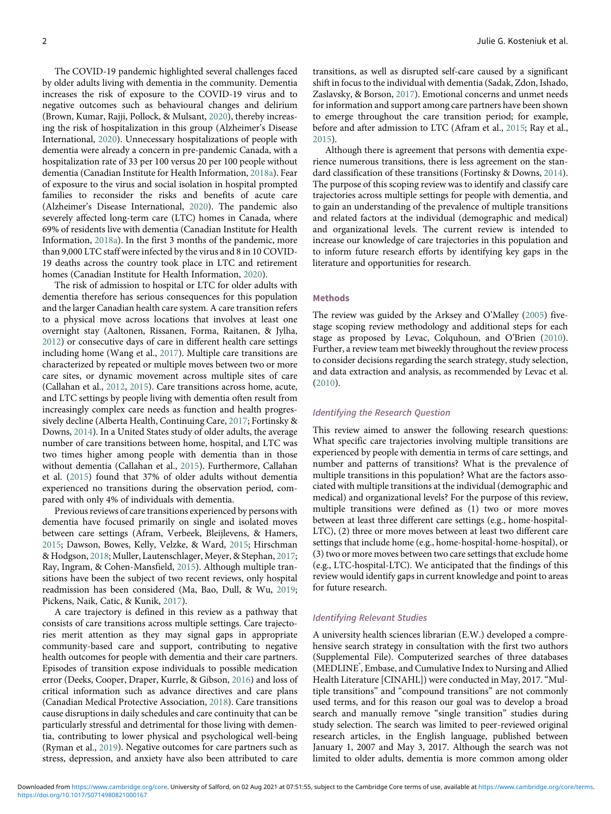The COVID-19 pandemic highlighted several challenges faced by older adults living with dementia in the community. Dementia increases the risk of exposure to the COVID-19 virus and to negative outcomes such as behavioural changes and delirium (Brown, Kumar, Rajji, Pollock, & Mulsant, [2020](#page-23-0)), thereby increasing the risk of hospitalization in this group (Alzheimer's Disease International, [2020\)](#page-23-1). Unnecessary hospitalizations of people with dementia were already a concern in pre-pandemic Canada, with a hospitalization rate of 33 per 100 versus 20 per 100 people without dementia (Canadian Institute for Health Information, [2018a\)](#page-24-1). Fear of exposure to the virus and social isolation in hospital prompted families to reconsider the risks and benefits of acute care (Alzheimer's Disease International, [2020](#page-23-1)). The pandemic also severely affected long-term care (LTC) homes in Canada, where 69% of residents live with dementia (Canadian Institute for Health Information, [2018a](#page-24-1)). In the first 3 months of the pandemic, more than 9,000 LTC staff were infected by the virus and 8 in 10 COVID-19 deaths across the country took place in LTC and retirement homes (Canadian Institute for Health Information, [2020\)](#page-24-2).

The risk of admission to hospital or LTC for older adults with dementia therefore has serious consequences for this population and the larger Canadian health care system. A care transition refers to a physical move across locations that involves at least one overnight stay (Aaltonen, Rissanen, Forma, Raitanen, & Jylha, [2012](#page-23-2)) or consecutive days of care in different health care settings including home (Wang et al., [2017](#page-25-1)). Multiple care transitions are characterized by repeated or multiple moves between two or more care sites, or dynamic movement across multiple sites of care (Callahan et al., [2012](#page-23-3), [2015](#page-23-4)). Care transitions across home, acute, and LTC settings by people living with dementia often result from increasingly complex care needs as function and health progressively decline (Alberta Health, Continuing Care, [2017;](#page-23-5) Fortinsky & Downs, [2014](#page-24-3)). In a United States study of older adults, the average number of care transitions between home, hospital, and LTC was two times higher among people with dementia than in those without dementia (Callahan et al., [2015\)](#page-23-4). Furthermore, Callahan et al. ([2015](#page-23-4)) found that 37% of older adults without dementia experienced no transitions during the observation period, compared with only 4% of individuals with dementia.

Previous reviews of care transitions experienced by persons with dementia have focused primarily on single and isolated moves between care settings (Afram, Verbeek, Bleijlevens, & Hamers, [2015](#page-23-6); Dawson, Bowes, Kelly, Velzke, & Ward, [2015](#page-24-4); Hirschman & Hodgson, [2018;](#page-24-5) Muller, Lautenschlager, Meyer, & Stephan, [2017](#page-24-6); Ray, Ingram, & Cohen-Mansfield, [2015](#page-25-2)). Although multiple transitions have been the subject of two recent reviews, only hospital readmission has been considered (Ma, Bao, Dull, & Wu, [2019](#page-24-7); Pickens, Naik, Catic, & Kunik, [2017\)](#page-25-3).

A care trajectory is defined in this review as a pathway that consists of care transitions across multiple settings. Care trajectories merit attention as they may signal gaps in appropriate community-based care and support, contributing to negative health outcomes for people with dementia and their care partners. Episodes of transition expose individuals to possible medication error (Deeks, Cooper, Draper, Kurrle, & Gibson, [2016\)](#page-24-8) and loss of critical information such as advance directives and care plans (Canadian Medical Protective Association, [2018\)](#page-24-9). Care transitions cause disruptions in daily schedules and care continuity that can be particularly stressful and detrimental for those living with dementia, contributing to lower physical and psychological well-being (Ryman et al., [2019](#page-25-4)). Negative outcomes for care partners such as stress, depression, and anxiety have also been attributed to care

transitions, as well as disrupted self-care caused by a significant shift in focus to the individual with dementia (Sadak, Zdon, Ishado, Zaslavsky, & Borson, [2017\)](#page-25-5). Emotional concerns and unmet needs for information and support among care partners have been shown to emerge throughout the care transition period; for example, before and after admission to LTC (Afram et al., [2015](#page-23-6); Ray et al., [2015](#page-25-2)).

Although there is agreement that persons with dementia experience numerous transitions, there is less agreement on the standard classification of these transitions (Fortinsky & Downs, [2014\)](#page-24-3). The purpose of this scoping review was to identify and classify care trajectories across multiple settings for people with dementia, and to gain an understanding of the prevalence of multiple transitions and related factors at the individual (demographic and medical) and organizational levels. The current review is intended to increase our knowledge of care trajectories in this population and to inform future research efforts by identifying key gaps in the literature and opportunities for research.

# Methods

The review was guided by the Arksey and O'Malley ([2005\)](#page-23-7) fivestage scoping review methodology and additional steps for each stage as proposed by Levac, Colquhoun, and O'Brien ([2010\)](#page-24-10). Further, a review team met biweekly throughout the review process to consider decisions regarding the search strategy, study selection, and data extraction and analysis, as recommended by Levac et al. [\(2010\)](#page-24-10).

# Identifying the Research Question

This review aimed to answer the following research questions: What specific care trajectories involving multiple transitions are experienced by people with dementia in terms of care settings, and number and patterns of transitions? What is the prevalence of multiple transitions in this population? What are the factors associated with multiple transitions at the individual (demographic and medical) and organizational levels? For the purpose of this review, multiple transitions were defined as (1) two or more moves between at least three different care settings (e.g., home-hospital-LTC), (2) three or more moves between at least two different care settings that include home (e.g., home-hospital-home-hospital), or (3) two or more moves between two care settings that exclude home (e.g., LTC-hospital-LTC). We anticipated that the findings of this review would identify gaps in current knowledge and point to areas for future research.

#### Identifying Relevant Studies

A university health sciences librarian (E.W.) developed a comprehensive search strategy in consultation with the first two authors (Supplemental File). Computerized searches of three databases (MEDLINE<sup>®</sup>, Embase, and Cumulative Index to Nursing and Allied Health Literature [CINAHL]) were conducted in May, 2017."Multiple transitions" and "compound transitions" are not commonly used terms, and for this reason our goal was to develop a broad search and manually remove "single transition" studies during study selection. The search was limited to peer-reviewed original research articles, in the English language, published between January 1, 2007 and May 3, 2017. Although the search was not limited to older adults, dementia is more common among older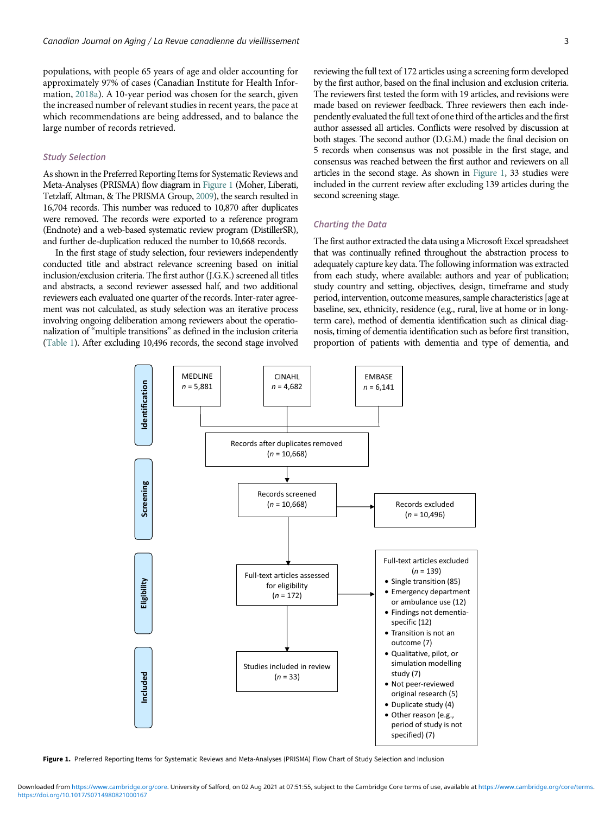populations, with people 65 years of age and older accounting for approximately 97% of cases (Canadian Institute for Health Information, [2018a](#page-24-1)). A 10-year period was chosen for the search, given the increased number of relevant studies in recent years, the pace at which recommendations are being addressed, and to balance the large number of records retrieved.

# Study Selection

As shown in the Preferred Reporting Items for Systematic Reviews and Meta-Analyses (PRISMA) flow diagram in [Figure 1](#page-3-0) (Moher, Liberati, Tetzlaff, Altman, & The PRISMA Group, [2009\)](#page-24-11), the search resulted in 16,704 records. This number was reduced to 10,870 after duplicates were removed. The records were exported to a reference program (Endnote) and a web-based systematic review program (DistillerSR), and further de-duplication reduced the number to 10,668 records.

In the first stage of study selection, four reviewers independently conducted title and abstract relevance screening based on initial inclusion/exclusion criteria. The first author (J.G.K.) screened all titles and abstracts, a second reviewer assessed half, and two additional reviewers each evaluated one quarter of the records. Inter-rater agreement was not calculated, as study selection was an iterative process involving ongoing deliberation among reviewers about the operationalization of "multiple transitions" as defined in the inclusion criteria [\(Table 1](#page-4-0)). After excluding 10,496 records, the second stage involved reviewing the full text of 172 articles using a screening form developed by the first author, based on the final inclusion and exclusion criteria. The reviewers first tested the form with 19 articles, and revisions were made based on reviewer feedback. Three reviewers then each independently evaluated the full text of one third of the articles and the first author assessed all articles. Conflicts were resolved by discussion at both stages. The second author (D.G.M.) made the final decision on 5 records when consensus was not possible in the first stage, and consensus was reached between the first author and reviewers on all articles in the second stage. As shown in [Figure 1,](#page-3-0) 33 studies were included in the current review after excluding 139 articles during the second screening stage.

# Charting the Data

The first author extracted the data using a Microsoft Excel spreadsheet that was continually refined throughout the abstraction process to adequately capture key data. The following information was extracted from each study, where available: authors and year of publication; study country and setting, objectives, design, timeframe and study period, intervention, outcome measures, sample characteristics [age at baseline, sex, ethnicity, residence (e.g., rural, live at home or in longterm care), method of dementia identification such as clinical diagnosis, timing of dementia identification such as before first transition, proportion of patients with dementia and type of dementia, and

<span id="page-3-0"></span>

Figure 1. Preferred Reporting Items for Systematic Reviews and Meta-Analyses (PRISMA) Flow Chart of Study Selection and Inclusion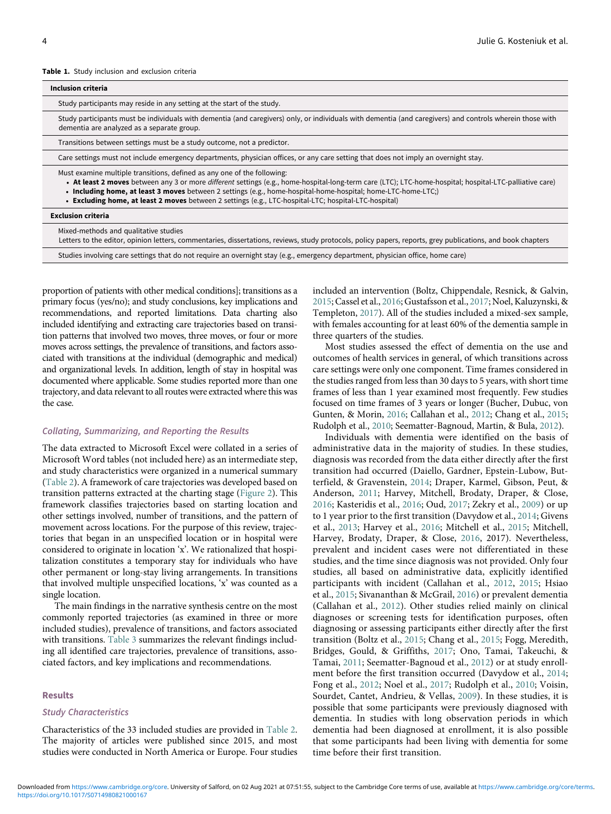#### <span id="page-4-0"></span>Table 1. Study inclusion and exclusion criteria

| Inclusion criteria                                                                                                                                                                                                                                                                                                                                                                                                                                           |
|--------------------------------------------------------------------------------------------------------------------------------------------------------------------------------------------------------------------------------------------------------------------------------------------------------------------------------------------------------------------------------------------------------------------------------------------------------------|
| Study participants may reside in any setting at the start of the study.                                                                                                                                                                                                                                                                                                                                                                                      |
| Study participants must be individuals with dementia (and caregivers) only, or individuals with dementia (and caregivers) and controls wherein those with<br>dementia are analyzed as a separate group.                                                                                                                                                                                                                                                      |
| Transitions between settings must be a study outcome, not a predictor.                                                                                                                                                                                                                                                                                                                                                                                       |
| Care settings must not include emergency departments, physician offices, or any care setting that does not imply an overnight stay.                                                                                                                                                                                                                                                                                                                          |
| Must examine multiple transitions, defined as any one of the following:<br>• At least 2 moves between any 3 or more different settings (e.g., home-hospital-long-term care (LTC); LTC-home-hospital; hospital-LTC-palliative care)<br>. Including home, at least 3 moves between 2 settings (e.g., home-hospital-home-hospital; home-LTC-home-LTC;)<br>• Excluding home, at least 2 moves between 2 settings (e.g., LTC-hospital-LTC; hospital-LTC-hospital) |
| <b>Exclusion criteria</b>                                                                                                                                                                                                                                                                                                                                                                                                                                    |
| Mived-methods and qualitative studies                                                                                                                                                                                                                                                                                                                                                                                                                        |

Mixed-methods and qualitative studies

Letters to the editor, opinion letters, commentaries, dissertations, reviews, study protocols, policy papers, reports, grey publications, and book chapters

Studies involving care settings that do not require an overnight stay (e.g., emergency department, physician office, home care)

proportion of patients with other medical conditions]; transitions as a primary focus (yes/no); and study conclusions, key implications and recommendations, and reported limitations. Data charting also included identifying and extracting care trajectories based on transition patterns that involved two moves, three moves, or four or more moves across settings, the prevalence of transitions, and factors associated with transitions at the individual (demographic and medical) and organizational levels. In addition, length of stay in hospital was documented where applicable. Some studies reported more than one trajectory, and data relevant to all routes were extracted where this was the case.

# Collating, Summarizing, and Reporting the Results

The data extracted to Microsoft Excel were collated in a series of Microsoft Word tables (not included here) as an intermediate step, and study characteristics were organized in a numerical summary [\(Table 2\)](#page-5-0). A framework of care trajectories was developed based on transition patterns extracted at the charting stage [\(Figure 2](#page-6-0)). This framework classifies trajectories based on starting location and other settings involved, number of transitions, and the pattern of movement across locations. For the purpose of this review, trajectories that began in an unspecified location or in hospital were considered to originate in location 'x'. We rationalized that hospitalization constitutes a temporary stay for individuals who have other permanent or long-stay living arrangements. In transitions that involved multiple unspecified locations, 'x' was counted as a single location.

The main findings in the narrative synthesis centre on the most commonly reported trajectories (as examined in three or more included studies), prevalence of transitions, and factors associated with transitions. [Table 3](#page-7-0) summarizes the relevant findings including all identified care trajectories, prevalence of transitions, associated factors, and key implications and recommendations.

#### Results

#### Study Characteristics

Characteristics of the 33 included studies are provided in [Table 2](#page-5-0). The majority of articles were published since 2015, and most studies were conducted in North America or Europe. Four studies

included an intervention (Boltz, Chippendale, Resnick, & Galvin, [2015](#page-23-8); Cassel et al., [2016;](#page-24-12) Gustafsson et al., [2017;](#page-24-13) Noel, Kaluzynski, & Templeton, [2017\)](#page-25-6). All of the studies included a mixed-sex sample, with females accounting for at least 60% of the dementia sample in three quarters of the studies.

Most studies assessed the effect of dementia on the use and outcomes of health services in general, of which transitions across care settings were only one component. Time frames considered in the studies ranged from less than 30 days to 5 years, with short time frames of less than 1 year examined most frequently. Few studies focused on time frames of 3 years or longer (Bucher, Dubuc, von Gunten, & Morin, [2016](#page-23-9); Callahan et al., [2012;](#page-23-3) Chang et al., [2015](#page-24-14); Rudolph et al., [2010;](#page-25-7) Seematter-Bagnoud, Martin, & Bula, [2012\)](#page-25-8).

Individuals with dementia were identified on the basis of administrative data in the majority of studies. In these studies, diagnosis was recorded from the data either directly after the first transition had occurred (Daiello, Gardner, Epstein-Lubow, Butterfield, & Gravenstein, [2014](#page-24-0); Draper, Karmel, Gibson, Peut, & Anderson, [2011](#page-24-15); Harvey, Mitchell, Brodaty, Draper, & Close, [2016;](#page-24-16) Kasteridis et al., [2016;](#page-24-2) Oud, [2017;](#page-25-9) Zekry et al., [2009\)](#page-25-5) or up to 1 year prior to the first transition (Davydow et al., [2014;](#page-24-7) Givens et al., [2013;](#page-24-17) Harvey et al., [2016;](#page-24-16) Mitchell et al., [2015](#page-24-8); Mitchell, Harvey, Brodaty, Draper, & Close, [2016,](#page-24-18) 2017). Nevertheless, prevalent and incident cases were not differentiated in these studies, and the time since diagnosis was not provided. Only four studies, all based on administrative data, explicitly identified participants with incident (Callahan et al., [2012](#page-23-3), [2015](#page-23-4); Hsiao et al., [2015;](#page-24-19) Sivananthan & McGrail, [2016\)](#page-25-10) or prevalent dementia (Callahan et al., [2012](#page-23-3)). Other studies relied mainly on clinical diagnoses or screening tests for identification purposes, often diagnosing or assessing participants either directly after the first transition (Boltz et al., [2015;](#page-23-8) Chang et al., [2015](#page-24-14); Fogg, Meredith, Bridges, Gould, & Griffiths, [2017](#page-24-20); Ono, Tamai, Takeuchi, & Tamai, [2011](#page-25-11); Seematter-Bagnoud et al., [2012\)](#page-25-8) or at study enrollment before the first transition occurred (Davydow et al., [2014](#page-24-7); Fong et al., [2012](#page-24-21); Noel et al., [2017;](#page-25-6) Rudolph et al., [2010;](#page-25-7) Voisin, Sourdet, Cantet, Andrieu, & Vellas, [2009\)](#page-25-12). In these studies, it is possible that some participants were previously diagnosed with dementia. In studies with long observation periods in which dementia had been diagnosed at enrollment, it is also possible that some participants had been living with dementia for some time before their first transition.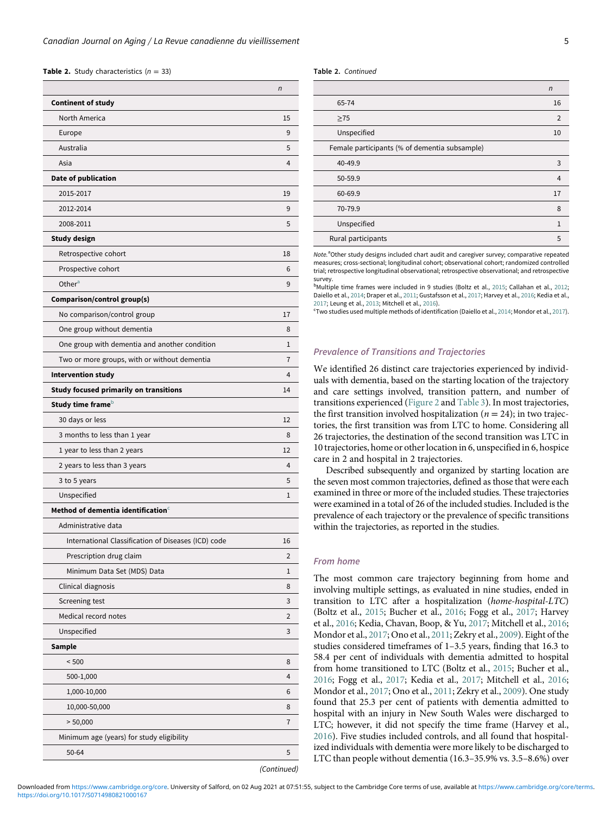**Table 2.** Study characteristics  $(n = 33)$ 

<span id="page-5-2"></span><span id="page-5-1"></span><span id="page-5-0"></span>

|                                                     | n                  |
|-----------------------------------------------------|--------------------|
| <b>Continent of study</b>                           |                    |
| North America                                       | 15                 |
| Europe                                              | 9                  |
| Australia                                           | 5                  |
| Asia                                                | 4                  |
| Date of publication                                 |                    |
| 2015-2017                                           | 19                 |
| 2012-2014                                           | 9                  |
| 2008-2011                                           | 5                  |
| Study design                                        |                    |
| Retrospective cohort                                | 18                 |
| Prospective cohort                                  | 6                  |
| Other <sup>a</sup>                                  | 9                  |
| Comparison/control group(s)                         |                    |
| No comparison/control group                         | 17                 |
| One group without dementia                          | 8                  |
| One group with dementia and another condition       | 1                  |
| Two or more groups, with or without dementia        | 7                  |
| <b>Intervention study</b>                           | 4                  |
| <b>Study focused primarily on transitions</b>       | 14                 |
| Study time frame <sup>b</sup>                       |                    |
| 30 days or less                                     | 12                 |
| 3 months to less than 1 year                        | 8                  |
| 1 year to less than 2 years                         | 12                 |
| 2 years to less than 3 years                        | 4                  |
| 3 to 5 years                                        | 5                  |
| Unspecified                                         | 1                  |
| Method of dementia identification $^\circ$          |                    |
| Administrative data                                 |                    |
| International Classification of Diseases (ICD) code | 16                 |
| Prescription drug claim                             | 2                  |
| Minimum Data Set (MDS) Data                         | 1                  |
| Clinical diagnosis                                  | 8                  |
| Screening test                                      | 3                  |
| Medical record notes                                | 2                  |
| Unspecified                                         | 3                  |
| <b>Sample</b>                                       |                    |
| < 500                                               | 8                  |
| 500-1,000                                           | 4                  |
| 1,000-10,000                                        | 6                  |
| 10,000-50,000                                       | 8                  |
| > 50,000                                            | 7                  |
| Minimum age (years) for study eligibility           |                    |
| 50-64                                               | 5                  |
|                                                     | <i>(Continued)</i> |

Table 2. Continued

|                                               | $\mathsf{n}$   |
|-----------------------------------------------|----------------|
| 65-74                                         | 16             |
| $\geq$ 75                                     | $\overline{2}$ |
| Unspecified                                   | 10             |
| Female participants (% of dementia subsample) |                |
| 40-49.9                                       | 3              |
| 50-59.9                                       | $\overline{4}$ |
| 60-69.9                                       | 17             |
| 70-79.9                                       | 8              |
| Unspecified                                   | 1              |
| Rural participants                            | 5              |

Note.<sup>a</sup>Other study designs included chart audit and caregiver survey; comparative repeated measures; cross-sectional; longitudinal cohort; observational cohort; randomized controlled trial; retrospective longitudinal observational; retrospective observational; and retrospective survey.

<sup>b</sup>Multiple time frames were included in 9 studies (Boltz et al., [2015](#page-23-8); Callahan et al., [2012;](#page-23-3) Daiello et al., [2014;](#page-24-0) Draper et al., [2011;](#page-24-15) Gustafsson et al., [2017;](#page-24-13) Harvey et al., [2016](#page-24-16); Kedia et al., [2017;](#page-24-9) Leung et al., [2013](#page-24-23); Mitchell et al., [2016\)](#page-24-18).

 $\text{``Two studies used multiple methods of identification (Daiello et al., 2014; Mondor et al., 2017).}$  $\text{``Two studies used multiple methods of identification (Daiello et al., 2014; Mondor et al., 2017).}$  $\text{``Two studies used multiple methods of identification (Daiello et al., 2014; Mondor et al., 2017).}$  $\text{``Two studies used multiple methods of identification (Daiello et al., 2014; Mondor et al., 2017).}$  $\text{``Two studies used multiple methods of identification (Daiello et al., 2014; Mondor et al., 2017).}$ 

#### Prevalence of Transitions and Trajectories

We identified 26 distinct care trajectories experienced by individuals with dementia, based on the starting location of the trajectory and care settings involved, transition pattern, and number of transitions experienced ([Figure 2](#page-6-0) and [Table 3\)](#page-7-0). In most trajectories, the first transition involved hospitalization ( $n = 24$ ); in two trajectories, the first transition was from LTC to home. Considering all 26 trajectories, the destination of the second transition was LTC in 10 trajectories, home or other location in 6, unspecified in 6, hospice care in 2 and hospital in 2 trajectories.

Described subsequently and organized by starting location are the seven most common trajectories, defined as those that were each examined in three or more of the included studies. These trajectories were examined in a total of 26 of the included studies. Included is the prevalence of each trajectory or the prevalence of specific transitions within the trajectories, as reported in the studies.

# From home

The most common care trajectory beginning from home and involving multiple settings, as evaluated in nine studies, ended in transition to LTC after a hospitalization (home-hospital-LTC) (Boltz et al., [2015](#page-23-8); Bucher et al., [2016;](#page-23-9) Fogg et al., [2017](#page-24-20); Harvey et al., [2016;](#page-24-16) Kedia, Chavan, Boop, & Yu, [2017;](#page-24-9) Mitchell et al., [2016;](#page-24-18) Mondor et al., [2017;](#page-24-22) Ono et al., [2011](#page-25-11); Zekry et al., [2009](#page-25-5)). Eight of the studies considered timeframes of 1–3.5 years, finding that 16.3 to 58.4 per cent of individuals with dementia admitted to hospital from home transitioned to LTC (Boltz et al., [2015;](#page-23-8) Bucher et al., [2016;](#page-23-9) Fogg et al., [2017](#page-24-20); Kedia et al., [2017](#page-24-9); Mitchell et al., [2016;](#page-24-18) Mondor et al., [2017;](#page-24-22) Ono et al., [2011;](#page-25-11) Zekry et al., [2009](#page-25-5)). One study found that 25.3 per cent of patients with dementia admitted to hospital with an injury in New South Wales were discharged to LTC; however, it did not specify the time frame (Harvey et al., [2016\)](#page-24-16). Five studies included controls, and all found that hospitalized individuals with dementia were more likely to be discharged to LTC than people without dementia (16.3–35.9% vs. 3.5–8.6%) over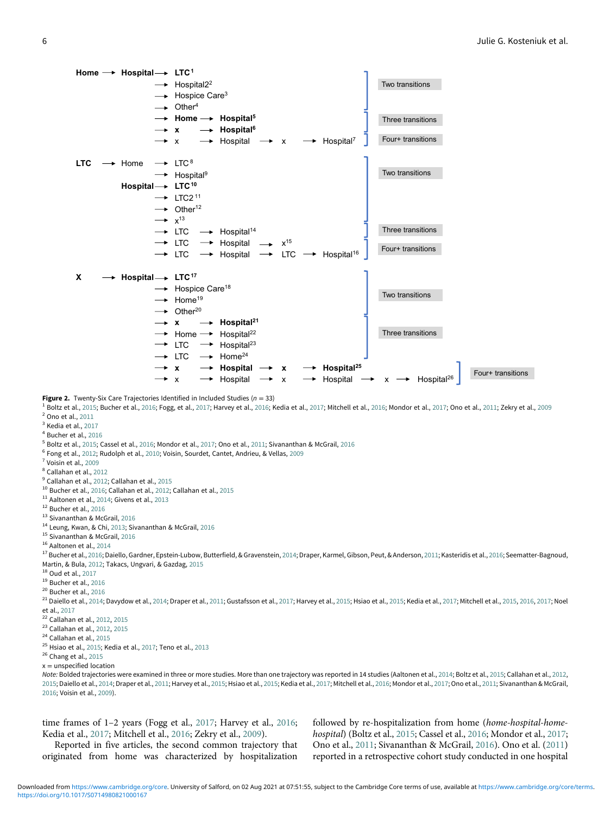<span id="page-6-0"></span>

 $^1$  Boltz et al., [2015;](#page-23-8) Bucher et al., [2016](#page-24-16); Fogg, et al., [2017](#page-24-22); Harvey et al., 2016; Kedia et al., [2017;](#page-24-9) Mitchell et al., [2016;](#page-24-18) Mondor et al., 2017; Ono et al., [2011](#page-25-11); Zekry et al., [2009](#page-25-5) <sup>2</sup> Ono et al., [2011](#page-25-11)

<sup>3</sup> Kedia et al., [2017](#page-24-9)

<sup>4</sup> Bucher et al., [2016](#page-23-9)

 $^5$  Boltz et al., [2015;](#page-23-8) Cassel et al., [2016](#page-25-10); Mondor et al., [2017;](#page-24-22) Ono et al., [2011;](#page-25-11) Sivananthan & McGrail, 2016

<sup>6</sup> Fong et al., [2012](#page-24-21); Rudolph et al., [2010](#page-25-7); Voisin, Sourdet, Cantet, Andrieu, & Vellas, [2009](#page-25-12)

<sup>7</sup> Voisin et al., [2009](#page-25-12)

<sup>8</sup> Callahan et al., [2012](#page-23-3)

<sup>9</sup> Callahan et al., [2012;](#page-23-3) Callahan et al., [2015](#page-23-4)

<sup>10</sup> Bucher et al., [2016](#page-23-9); Callahan et al., [2012;](#page-23-3) Callahan et al., [2015](#page-23-4)

<sup>11</sup> Aaltonen et al., [2014;](#page-23-10) Givens et al., [2013](#page-24-17)

<sup>12</sup> Bucher et al., [2016](#page-23-9)

13 Sivananthan & McGrail, [2016](#page-25-10)

<sup>14</sup> Leung, Kwan, & Chi, [2013;](#page-24-23) Sivananthan & McGrail, [2016](#page-25-10)

<sup>15</sup> Sivananthan & McGrail, [2016](#page-25-10)

16 Aaltonen et al., [2014](#page-23-10)

<sup>17</sup> Bucher et al., [2016](#page-24-2); Daiello, Gardner, Epstein-Lubow, Butterfield, & Gravenstein, [2014](#page-24-0); Draper, Karmel, Gibson, Peut, & Anderson, [2011](#page-24-15); Kasteridis et al., 2016; Seematter-Bagnoud, Martin, & Bula, [2012;](#page-25-8) Takacs, Ungvari, & Gazdag, [2015](#page-25-3)

<sup>18</sup> Oud et al., [2017](#page-25-9)

<sup>19</sup> Bucher et al., [2016](#page-23-9)

<sup>20</sup> Bucher et al., [2016](#page-23-9)

 $^{21}$  Daiello et al., [2014](#page-24-7); Davydow et al., 2014; Draper et al., [2011](#page-24-15); Gustafsson et al., [2017;](#page-24-24) Harvey et al., [2015;](#page-24-8) Hsiao et al., [2015](#page-24-8); Kedia et al., [2017](#page-24-9); Mitchell et al., 2015, [2016,](#page-24-18) 2017; Noel et al., [2017](#page-25-6)

<sup>22</sup> Callahan et al., [2012](#page-23-3), [2015](#page-23-4)

<sup>23</sup> Callahan et al., [2012](#page-23-3), [2015](#page-23-4)

<sup>24</sup> Callahan et al., [2015](#page-23-4)

 $25$  Hsiao et al., [2015;](#page-24-19) Kedia et al., [2017](#page-24-9); Teno et al., [2013](#page-25-13)

<sup>26</sup> Chang et al., [2015](#page-24-14)

 $x =$  unspecified location

Note: Bolded trajectories were examined in three or more studies. More than one trajectory was reported in 14 studies (Aaltonen et al., [2014;](#page-23-10) Boltz et al., [2015;](#page-23-8) Callahan et al., [2012,](#page-23-3) [2015;](#page-23-4) Daiello et al., [2014;](#page-24-0) Draper et al., [2011](#page-24-15); Harvey et al., [2015;](#page-24-8) Hsiao et al., [2015](#page-24-19); Kedia et al., [2017](#page-24-9); Mitchell et al., [2016;](#page-24-18) Mondor et al., [2017;](#page-24-22) Ono et al., [2011](#page-25-11); Sivananthan & McGrail, [2016;](#page-25-10) Voisin et al., [2009](#page-25-12)).

time frames of 1–2 years (Fogg et al., [2017](#page-24-20); Harvey et al., [2016](#page-24-16); Kedia et al., [2017;](#page-24-9) Mitchell et al., [2016;](#page-24-18) Zekry et al., [2009](#page-25-5)).

Reported in five articles, the second common trajectory that originated from home was characterized by hospitalization followed by re-hospitalization from home (home-hospital-homehospital) (Boltz et al., [2015](#page-23-8); Cassel et al., [2016;](#page-24-12) Mondor et al., [2017](#page-24-22); Ono et al., [2011;](#page-25-11) Sivananthan & McGrail, [2016\)](#page-25-10). Ono et al. ([2011\)](#page-25-11) reported in a retrospective cohort study conducted in one hospital

<https://doi.org/10.1017/S0714980821000167> Downloaded from [https://www.cambridge.org/core.](https://www.cambridge.org/core) University of Salford, on 02 Aug 2021 at 07:51:55, subject to the Cambridge Core terms of use, available at [https://www.cambridge.org/core/terms.](https://www.cambridge.org/core/terms)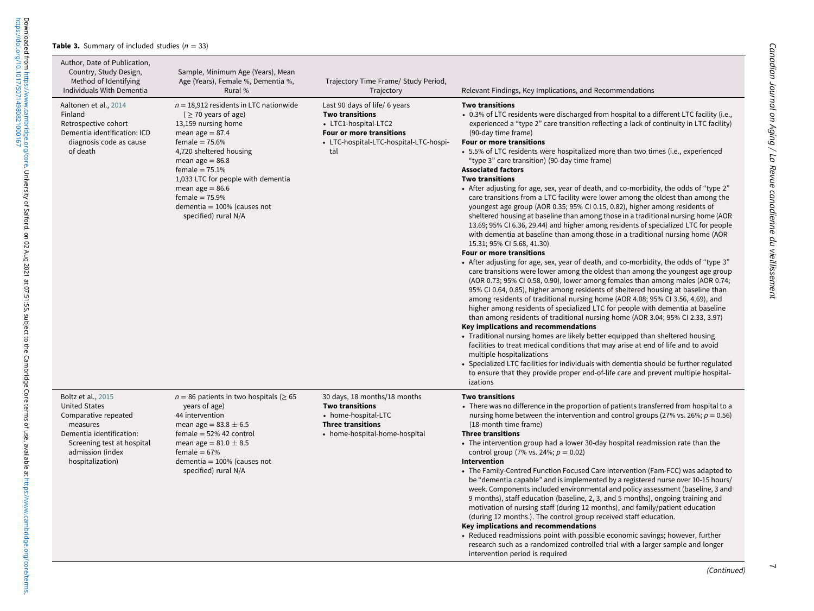#### **Table 3.** Summary of included studies ( $n = 33$ )

<span id="page-7-0"></span><https://doi.org/10.1017/S0714980821000167>

 $\overline{\phantom{0}}$ 

Downloaded from https://www.cambridge.org/core. University of Salford, on 02 Aug 2021 at 07:51:55, subject to the Cambridge Core terms of use, available at https://www.cambridge.org/core/terms.<br>https://doi.org/10.1017/5071 Downloaded from [https://www.cambridge.org/core.](https://www.cambridge.org/core) University of Salford, on 02 Aug 2021 at 07:51:55, subject to the Cambridge Core terms of use, available at [https://www.cambridge.org/core/terms.](https://www.cambridge.org/core/terms)

| Author, Date of Publication,<br>Country, Study Design,<br>Method of Identifying<br>Individuals With Dementia                                                                     | Sample, Minimum Age (Years), Mean<br>Age (Years), Female %, Dementia %,<br>Rural %                                                                                                                                                                                                                                                                   | Trajectory Time Frame/ Study Period,<br>Trajectory                                                                                                           | Relevant Findings, Key Implications, and Recommendations                                                                                                                                                                                                                                                                                                                                                                                                                                                                                                                                                                                                                                                                                                                                                                                                                                                                                                                                                                                                                                                                                                                                                                                                                                                                                                                                                                                                                                                                                                                                                                                                                                                                                                                                                                                                                                                                                                                                                                                                                                     |
|----------------------------------------------------------------------------------------------------------------------------------------------------------------------------------|------------------------------------------------------------------------------------------------------------------------------------------------------------------------------------------------------------------------------------------------------------------------------------------------------------------------------------------------------|--------------------------------------------------------------------------------------------------------------------------------------------------------------|----------------------------------------------------------------------------------------------------------------------------------------------------------------------------------------------------------------------------------------------------------------------------------------------------------------------------------------------------------------------------------------------------------------------------------------------------------------------------------------------------------------------------------------------------------------------------------------------------------------------------------------------------------------------------------------------------------------------------------------------------------------------------------------------------------------------------------------------------------------------------------------------------------------------------------------------------------------------------------------------------------------------------------------------------------------------------------------------------------------------------------------------------------------------------------------------------------------------------------------------------------------------------------------------------------------------------------------------------------------------------------------------------------------------------------------------------------------------------------------------------------------------------------------------------------------------------------------------------------------------------------------------------------------------------------------------------------------------------------------------------------------------------------------------------------------------------------------------------------------------------------------------------------------------------------------------------------------------------------------------------------------------------------------------------------------------------------------------|
| Aaltonen et al., 2014<br>Finland<br>Retrospective cohort<br>Dementia identification: ICD<br>diagnosis code as cause<br>of death                                                  | $n = 18,912$ residents in LTC nationwide<br>$($ $\geq$ 70 years of age)<br>13,159 nursing home<br>mean age $= 87.4$<br>female = $75.6%$<br>4,720 sheltered housing<br>mean age $= 86.8$<br>female = $75.1%$<br>1,033 LTC for people with dementia<br>mean age $= 86.6$<br>female = $75.9%$<br>dementia = $100\%$ (causes not<br>specified) rural N/A | Last 90 days of life/ 6 years<br><b>Two transitions</b><br>• LTC1-hospital-LTC2<br>Four or more transitions<br>• LTC-hospital-LTC-hospital-LTC-hospi-<br>tal | <b>Two transitions</b><br>• 0.3% of LTC residents were discharged from hospital to a different LTC facility (i.e.,<br>experienced a "type 2" care transition reflecting a lack of continuity in LTC facility)<br>(90-day time frame)<br>Four or more transitions<br>• 5.5% of LTC residents were hospitalized more than two times (i.e., experienced<br>"type 3" care transition) (90-day time frame)<br><b>Associated factors</b><br><b>Two transitions</b><br>• After adjusting for age, sex, year of death, and co-morbidity, the odds of "type 2"<br>care transitions from a LTC facility were lower among the oldest than among the<br>youngest age group (AOR 0.35; 95% CI 0.15, 0.82), higher among residents of<br>sheltered housing at baseline than among those in a traditional nursing home (AOR<br>13.69; 95% CI 6.36, 29.44) and higher among residents of specialized LTC for people<br>with dementia at baseline than among those in a traditional nursing home (AOR<br>15.31; 95% CI 5.68, 41.30)<br>Four or more transitions<br>• After adjusting for age, sex, year of death, and co-morbidity, the odds of "type 3"<br>care transitions were lower among the oldest than among the youngest age group<br>(AOR 0.73; 95% CI 0.58, 0.90), lower among females than among males (AOR 0.74;<br>95% CI 0.64, 0.85), higher among residents of sheltered housing at baseline than<br>among residents of traditional nursing home (AOR 4.08; 95% CI 3.56, 4.69), and<br>higher among residents of specialized LTC for people with dementia at baseline<br>than among residents of traditional nursing home (AOR 3.04; 95% CI 2.33, 3.97)<br>Key implications and recommendations<br>• Traditional nursing homes are likely better equipped than sheltered housing<br>facilities to treat medical conditions that may arise at end of life and to avoid<br>multiple hospitalizations<br>• Specialized LTC facilities for individuals with dementia should be further regulated<br>to ensure that they provide proper end-of-life care and prevent multiple hospital-<br>izations |
| Boltz et al., 2015<br><b>United States</b><br>Comparative repeated<br>measures<br>Dementia identification:<br>Screening test at hospital<br>admission (index<br>hospitalization) | $n = 86$ patients in two hospitals ( $\geq 65$<br>years of age)<br>44 intervention<br>mean age = $83.8 \pm 6.5$<br>$female = 52\% 42 control$<br>mean age = $81.0 \pm 8.5$<br>female = $67%$<br>dementia = $100\%$ (causes not<br>specified) rural N/A                                                                                               | 30 days, 18 months/18 months<br><b>Two transitions</b><br>• home-hospital-LTC<br><b>Three transitions</b><br>• home-hospital-home-hospital                   | <b>Two transitions</b><br>• There was no difference in the proportion of patients transferred from hospital to a<br>nursing home between the intervention and control groups (27% vs. 26%; $p = 0.56$ )<br>(18-month time frame)<br><b>Three transitions</b><br>• The intervention group had a lower 30-day hospital readmission rate than the<br>control group (7% vs. 24%; $p = 0.02$ )<br>Intervention<br>• The Family-Centred Function Focused Care intervention (Fam-FCC) was adapted to<br>be "dementia capable" and is implemented by a registered nurse over 10-15 hours/<br>week. Components included environmental and policy assessment (baseline, 3 and<br>9 months), staff education (baseline, 2, 3, and 5 months), ongoing training and<br>motivation of nursing staff (during 12 months), and family/patient education<br>(during 12 months.). The control group received staff education.<br>Key implications and recommendations<br>• Reduced readmissions point with possible economic savings; however, further<br>research such as a randomized controlled trial with a larger sample and longer<br>intervention period is required                                                                                                                                                                                                                                                                                                                                                                                                                                                                                                                                                                                                                                                                                                                                                                                                                                                                                                                                     |

 $\overline{\phantom{0}}$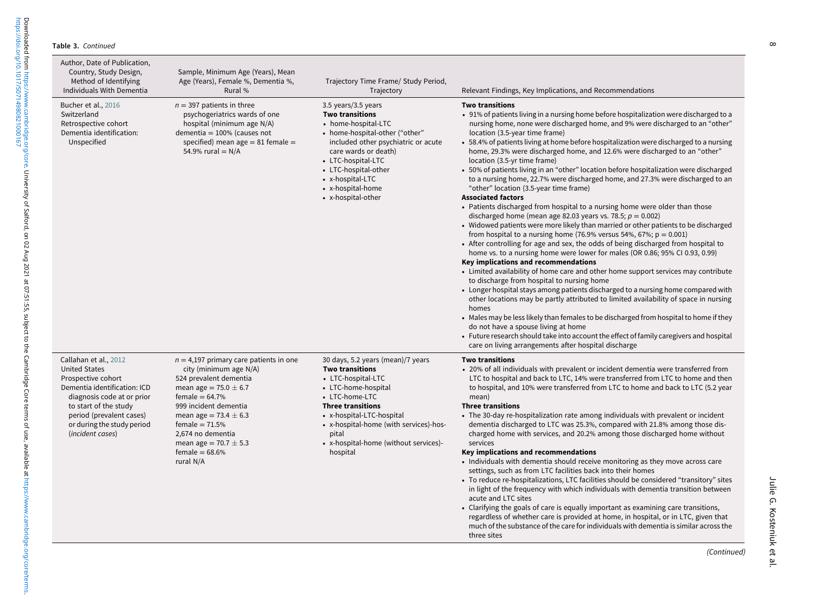| Author, Date of Publication,<br>Country, Study Design,<br>Method of Identifying<br>Individuals With Dementia                                                                                                                             | Sample, Minimum Age (Years), Mean<br>Age (Years), Female %, Dementia %,<br>Rural %                                                                                                                                                                                                                          | Trajectory Time Frame/ Study Period,<br>Trajectory                                                                                                                                                                                                                                          | Relevant Findings, Key Implications, and Recommendations                                                                                                                                                                                                                                                                                                                                                                                                                                                                                                                                                                                                                                                                                                                                                                                                                                                                                                                                                                                                                                                                                                                                                                                                                                                                                                                                                                                                                                                                                                                                                                                                                                                                                                                                                                                  |
|------------------------------------------------------------------------------------------------------------------------------------------------------------------------------------------------------------------------------------------|-------------------------------------------------------------------------------------------------------------------------------------------------------------------------------------------------------------------------------------------------------------------------------------------------------------|---------------------------------------------------------------------------------------------------------------------------------------------------------------------------------------------------------------------------------------------------------------------------------------------|-------------------------------------------------------------------------------------------------------------------------------------------------------------------------------------------------------------------------------------------------------------------------------------------------------------------------------------------------------------------------------------------------------------------------------------------------------------------------------------------------------------------------------------------------------------------------------------------------------------------------------------------------------------------------------------------------------------------------------------------------------------------------------------------------------------------------------------------------------------------------------------------------------------------------------------------------------------------------------------------------------------------------------------------------------------------------------------------------------------------------------------------------------------------------------------------------------------------------------------------------------------------------------------------------------------------------------------------------------------------------------------------------------------------------------------------------------------------------------------------------------------------------------------------------------------------------------------------------------------------------------------------------------------------------------------------------------------------------------------------------------------------------------------------------------------------------------------------|
| Bucher et al., 2016<br>Switzerland<br>Retrospective cohort<br>Dementia identification:<br>Unspecified                                                                                                                                    | $n = 397$ patients in three<br>psychogeriatrics wards of one<br>hospital (minimum age N/A)<br>dementia = $100\%$ (causes not<br>specified) mean age $= 81$ female $=$<br>54.9% rural = $N/A$                                                                                                                | 3.5 years/3.5 years<br><b>Two transitions</b><br>• home-hospital-LTC<br>• home-hospital-other ("other"<br>included other psychiatric or acute<br>care wards or death)<br>• LTC-hospital-LTC<br>• LTC-hospital-other<br>• x-hospital-LTC<br>• x-hospital-home<br>• x-hospital-other          | <b>Two transitions</b><br>• 91% of patients living in a nursing home before hospitalization were discharged to a<br>nursing home, none were discharged home, and 9% were discharged to an "other"<br>location (3.5-year time frame)<br>• 58.4% of patients living at home before hospitalization were discharged to a nursing<br>home, 29.3% were discharged home, and 12.6% were discharged to an "other"<br>location (3.5-yr time frame)<br>• 50% of patients living in an "other" location before hospitalization were discharged<br>to a nursing home, 22.7% were discharged home, and 27.3% were discharged to an<br>"other" location (3.5-year time frame)<br><b>Associated factors</b><br>• Patients discharged from hospital to a nursing home were older than those<br>discharged home (mean age 82.03 years vs. 78.5; $p = 0.002$ )<br>• Widowed patients were more likely than married or other patients to be discharged<br>from hospital to a nursing home (76.9% versus 54%, 67%; $p = 0.001$ )<br>• After controlling for age and sex, the odds of being discharged from hospital to<br>home vs. to a nursing home were lower for males (OR 0.86; 95% CI 0.93, 0.99)<br>Key implications and recommendations<br>• Limited availability of home care and other home support services may contribute<br>to discharge from hospital to nursing home<br>• Longer hospital stays among patients discharged to a nursing home compared with<br>other locations may be partly attributed to limited availability of space in nursing<br>homes<br>• Males may be less likely than females to be discharged from hospital to home if they<br>do not have a spouse living at home<br>• Future research should take into account the effect of family caregivers and hospital<br>care on living arrangements after hospital discharge |
| Callahan et al., 2012<br><b>United States</b><br>Prospective cohort<br>Dementia identification: ICD<br>diagnosis code at or prior<br>to start of the study<br>period (prevalent cases)<br>or during the study period<br>(incident cases) | $n = 4,197$ primary care patients in one<br>city (minimum age N/A)<br>524 prevalent dementia<br>mean age = $75.0 \pm 6.7$<br>female $= 64.7\%$<br>999 incident dementia<br>mean age = $73.4 \pm 6.3$<br>female = $71.5%$<br>2,674 no dementia<br>mean age = $70.7 \pm 5.3$<br>female = $68.6%$<br>rural N/A | 30 days, 5.2 years (mean)/7 years<br><b>Two transitions</b><br>• LTC-hospital-LTC<br>• LTC-home-hospital<br>• LTC-home-LTC<br><b>Three transitions</b><br>• x-hospital-LTC-hospital<br>• x-hospital-home (with services)-hos-<br>pital<br>• x-hospital-home (without services)-<br>hospital | <b>Two transitions</b><br>• 20% of all individuals with prevalent or incident dementia were transferred from<br>LTC to hospital and back to LTC, 14% were transferred from LTC to home and then<br>to hospital, and 10% were transferred from LTC to home and back to LTC (5.2 year<br>mean)<br><b>Three transitions</b><br>• The 30-day re-hospitalization rate among individuals with prevalent or incident<br>dementia discharged to LTC was 25.3%, compared with 21.8% among those dis-<br>charged home with services, and 20.2% among those discharged home without<br>services<br>Key implications and recommendations<br>• Individuals with dementia should receive monitoring as they move across care<br>settings, such as from LTC facilities back into their homes<br>• To reduce re-hospitalizations, LTC facilities should be considered "transitory" sites<br>in light of the frequency with which individuals with dementia transition between<br>acute and LTC sites<br>• Clarifying the goals of care is equally important as examining care transitions,<br>regardless of whether care is provided at home, in hospital, or in LTC, given that<br>much of the substance of the care for individuals with dementia is similar across the<br>three sites                                                                                                                                                                                                                                                                                                                                                                                                                                                                                                                                                                  |

<https://doi.org/10.1017/S0714980821000167>

Downloaded from https://www.cambridge.org/core. University of Salford, on 02 Aug 2021 at 07:51:55, subject to the Cambridge Core terms of use, available at https://www.cambridge.org/core/terms.<br>https://doi.org/10.1017/S071 Downloaded from [https://www.cambridge.org/core.](https://www.cambridge.org/core) University of Salford, on 02 Aug 2021 at 07:51:55, subject to the Cambridge Core terms of use, available at [https://www.cambridge.org/core/terms.](https://www.cambridge.org/core/terms)

느

(Continued)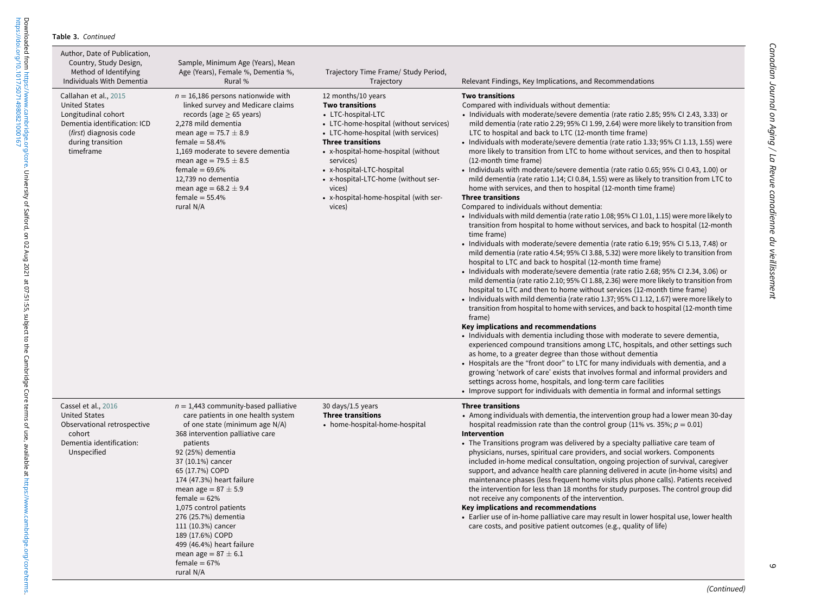| Author, Date of Publication,<br>Country, Study Design,<br>Method of Identifying<br>Individuals With Dementia                                                     | Sample, Minimum Age (Years), Mean<br>Age (Years), Female %, Dementia %,<br>Rural %                                                                                                                                                                                                                                                                                                                                                                                                       | Trajectory Time Frame/ Study Period,<br>Trajectory                                                                                                                                                                                                                                                                                                                   | Relevant Findings, Key Implications, and Recommendations                                                                                                                                                                                                                                                                                                                                                                                                                                                                                                                                                                                                                                                                                                                                                                                                                                                                                                                                                                                                                                                                                                                                                                                                                                                                                                                                                                                                                                                                                                                                                                                                                                                                                                                                                                                                                                                                                                                                                                                                                                                                                                                                                                                                                                                                                                           |
|------------------------------------------------------------------------------------------------------------------------------------------------------------------|------------------------------------------------------------------------------------------------------------------------------------------------------------------------------------------------------------------------------------------------------------------------------------------------------------------------------------------------------------------------------------------------------------------------------------------------------------------------------------------|----------------------------------------------------------------------------------------------------------------------------------------------------------------------------------------------------------------------------------------------------------------------------------------------------------------------------------------------------------------------|--------------------------------------------------------------------------------------------------------------------------------------------------------------------------------------------------------------------------------------------------------------------------------------------------------------------------------------------------------------------------------------------------------------------------------------------------------------------------------------------------------------------------------------------------------------------------------------------------------------------------------------------------------------------------------------------------------------------------------------------------------------------------------------------------------------------------------------------------------------------------------------------------------------------------------------------------------------------------------------------------------------------------------------------------------------------------------------------------------------------------------------------------------------------------------------------------------------------------------------------------------------------------------------------------------------------------------------------------------------------------------------------------------------------------------------------------------------------------------------------------------------------------------------------------------------------------------------------------------------------------------------------------------------------------------------------------------------------------------------------------------------------------------------------------------------------------------------------------------------------------------------------------------------------------------------------------------------------------------------------------------------------------------------------------------------------------------------------------------------------------------------------------------------------------------------------------------------------------------------------------------------------------------------------------------------------------------------------------------------------|
| Callahan et al., 2015<br><b>United States</b><br>Longitudinal cohort<br>Dementia identification: ICD<br>(first) diagnosis code<br>during transition<br>timeframe | $n = 16,186$ persons nationwide with<br>linked survey and Medicare claims<br>records (age $\geq$ 65 years)<br>2,278 mild dementia<br>mean age = $75.7 \pm 8.9$<br>female = $58.4%$<br>1,169 moderate to severe dementia<br>mean age = $79.5 \pm 8.5$<br>female = $69.6%$<br>12,739 no dementia<br>mean age = $68.2 \pm 9.4$<br>female = $55.4%$<br>rural N/A                                                                                                                             | 12 months/10 years<br><b>Two transitions</b><br>• LTC-hospital-LTC<br>• LTC-home-hospital (without services)<br>• LTC-home-hospital (with services)<br><b>Three transitions</b><br>• x-hospital-home-hospital (without<br>services)<br>• x-hospital-LTC-hospital<br>• x-hospital-LTC-home (without ser-<br>vices)<br>• x-hospital-home-hospital (with ser-<br>vices) | <b>Two transitions</b><br>Compared with individuals without dementia:<br>• Individuals with moderate/severe dementia (rate ratio 2.85; 95% CI 2.43, 3.33) or<br>mild dementia (rate ratio 2.29; 95% CI 1.99, 2.64) were more likely to transition from<br>LTC to hospital and back to LTC (12-month time frame)<br>• Individuals with moderate/severe dementia (rate ratio 1.33; 95% CI 1.13, 1.55) were<br>more likely to transition from LTC to home without services, and then to hospital<br>(12-month time frame)<br>• Individuals with moderate/severe dementia (rate ratio 0.65; 95% CI 0.43, 1.00) or<br>mild dementia (rate ratio 1.14; CI 0.84, 1.55) were as likely to transition from LTC to<br>home with services, and then to hospital (12-month time frame)<br><b>Three transitions</b><br>Compared to individuals without dementia:<br>• Individuals with mild dementia (rate ratio 1.08; 95% CI 1.01, 1.15) were more likely to<br>transition from hospital to home without services, and back to hospital (12-month<br>time frame)<br>• Individuals with moderate/severe dementia (rate ratio 6.19; 95% CI 5.13, 7.48) or<br>mild dementia (rate ratio 4.54; 95% CI 3.88, 5.32) were more likely to transition from<br>hospital to LTC and back to hospital (12-month time frame)<br>• Individuals with moderate/severe dementia (rate ratio 2.68; 95% CI 2.34, 3.06) or<br>mild dementia (rate ratio 2.10; 95% CI 1.88, 2.36) were more likely to transition from<br>hospital to LTC and then to home without services (12-month time frame)<br>• Individuals with mild dementia (rate ratio 1.37; 95% CI 1.12, 1.67) were more likely to<br>transition from hospital to home with services, and back to hospital (12-month time<br>frame)<br>Key implications and recommendations<br>• Individuals with dementia including those with moderate to severe dementia,<br>experienced compound transitions among LTC, hospitals, and other settings such<br>as home, to a greater degree than those without dementia<br>• Hospitals are the "front door" to LTC for many individuals with dementia, and a<br>growing 'network of care' exists that involves formal and informal providers and<br>settings across home, hospitals, and long-term care facilities<br>• Improve support for individuals with dementia in formal and informal settings |
| Cassel et al., 2016<br><b>United States</b><br>Observational retrospective<br>cohort<br>Dementia identification:<br>Unspecified                                  | $n = 1,443$ community-based palliative<br>care patients in one health system<br>of one state (minimum age N/A)<br>368 intervention palliative care<br>patients<br>92 (25%) dementia<br>37 (10.1%) cancer<br>65 (17.7%) COPD<br>174 (47.3%) heart failure<br>mean age = $87 \pm 5.9$<br>female = $62%$<br>1,075 control patients<br>276 (25.7%) dementia<br>111 (10.3%) cancer<br>189 (17.6%) COPD<br>499 (46.4%) heart failure<br>mean age = $87 \pm 6.1$<br>female = $67%$<br>rural N/A | 30 days/1.5 years<br><b>Three transitions</b><br>• home-hospital-home-hospital                                                                                                                                                                                                                                                                                       | <b>Three transitions</b><br>• Among individuals with dementia, the intervention group had a lower mean 30-day<br>hospital readmission rate than the control group (11% vs. 35%; $p = 0.01$ )<br>Intervention<br>• The Transitions program was delivered by a specialty palliative care team of<br>physicians, nurses, spiritual care providers, and social workers. Components<br>included in-home medical consultation, ongoing projection of survival, caregiver<br>support, and advance health care planning delivered in acute (in-home visits) and<br>maintenance phases (less frequent home visits plus phone calls). Patients received<br>the intervention for less than 18 months for study purposes. The control group did<br>not receive any components of the intervention.<br>Key implications and recommendations<br>• Earlier use of in-home palliative care may result in lower hospital use, lower health<br>care costs, and positive patient outcomes (e.g., quality of life)                                                                                                                                                                                                                                                                                                                                                                                                                                                                                                                                                                                                                                                                                                                                                                                                                                                                                                                                                                                                                                                                                                                                                                                                                                                                                                                                                                     |

 $\circ$ 

 $\overline{\phantom{0}}$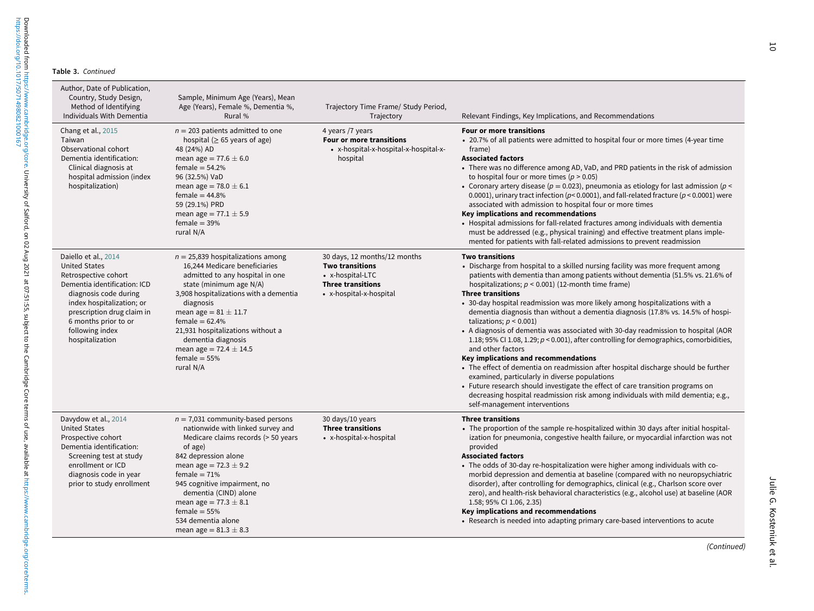<https://doi.org/10.1017/S0714980821000167>

Downloaded from https://www.cambridge.org/core. University of Salford, on 02 Aug 2021 at 07:51:55, subject to the Cambridge Core terms of use, available at https://www.cambridge.org/core/terms.<br>https://doi.org/10.1017/5071 Downloaded from [https://www.cambridge.org/core.](https://www.cambridge.org/core) University of Salford, on 02 Aug 2021 at 07:51:55, subject to the Cambridge Core terms of use, available at [https://www.cambridge.org/core/terms.](https://www.cambridge.org/core/terms)

| Author, Date of Publication,<br>Country, Study Design,<br>Method of Identifying<br>Individuals With Dementia                                                                                                                                           | Sample, Minimum Age (Years), Mean<br>Age (Years), Female %, Dementia %,<br>Rural %                                                                                                                                                                                                                                                                                 | Trajectory Time Frame/ Study Period,<br>Trajectory                                                                                | Relevant Findings, Key Implications, and Recommendations                                                                                                                                                                                                                                                                                                                                                                                                                                                                                                                                                                                                                                                                                                                                                                                                                                                                                                                                                                                                                        |
|--------------------------------------------------------------------------------------------------------------------------------------------------------------------------------------------------------------------------------------------------------|--------------------------------------------------------------------------------------------------------------------------------------------------------------------------------------------------------------------------------------------------------------------------------------------------------------------------------------------------------------------|-----------------------------------------------------------------------------------------------------------------------------------|---------------------------------------------------------------------------------------------------------------------------------------------------------------------------------------------------------------------------------------------------------------------------------------------------------------------------------------------------------------------------------------------------------------------------------------------------------------------------------------------------------------------------------------------------------------------------------------------------------------------------------------------------------------------------------------------------------------------------------------------------------------------------------------------------------------------------------------------------------------------------------------------------------------------------------------------------------------------------------------------------------------------------------------------------------------------------------|
| Chang et al., 2015<br>Taiwan<br>Observational cohort<br>Dementia identification:<br>Clinical diagnosis at<br>hospital admission (index<br>hospitalization)                                                                                             | $n = 203$ patients admitted to one<br>hospital ( $\geq$ 65 years of age)<br>48 (24%) AD<br>mean age = 77.6 $\pm$ 6.0<br>female = $54.2%$<br>96 (32.5%) VaD<br>mean age = $78.0 \pm 6.1$<br>female = $44.8%$<br>59 (29.1%) PRD<br>mean age = $77.1 \pm 5.9$<br>female $=$ 39%<br>rural N/A                                                                          | 4 years /7 years<br>Four or more transitions<br>• x-hospital-x-hospital-x-hospital-x-<br>hospital                                 | <b>Four or more transitions</b><br>• 20.7% of all patients were admitted to hospital four or more times (4-year time<br>frame)<br><b>Associated factors</b><br>• There was no difference among AD, VaD, and PRD patients in the risk of admission<br>to hospital four or more times ( $p > 0.05$ )<br>• Coronary artery disease ( $p = 0.023$ ), pneumonia as etiology for last admission ( $p <$<br>0.0001), urinary tract infection ( $p$ < 0.0001), and fall-related fracture ( $p$ < 0.0001) were<br>associated with admission to hospital four or more times<br>Key implications and recommendations<br>• Hospital admissions for fall-related fractures among individuals with dementia<br>must be addressed (e.g., physical training) and effective treatment plans imple-<br>mented for patients with fall-related admissions to prevent readmission                                                                                                                                                                                                                    |
| Daiello et al., 2014<br><b>United States</b><br>Retrospective cohort<br>Dementia identification: ICD<br>diagnosis code during<br>index hospitalization; or<br>prescription drug claim in<br>6 months prior to or<br>following index<br>hospitalization | $n = 25,839$ hospitalizations among<br>16,244 Medicare beneficiaries<br>admitted to any hospital in one<br>state (minimum age N/A)<br>3,908 hospitalizations with a dementia<br>diagnosis<br>mean age = $81 \pm 11.7$<br>female = $62.4%$<br>21,931 hospitalizations without a<br>dementia diagnosis<br>mean age = $72.4 \pm 14.5$<br>female $= 55\%$<br>rural N/A | 30 days, 12 months/12 months<br><b>Two transitions</b><br>• x-hospital-LTC<br><b>Three transitions</b><br>• x-hospital-x-hospital | <b>Two transitions</b><br>• Discharge from hospital to a skilled nursing facility was more frequent among<br>patients with dementia than among patients without dementia (51.5% vs. 21.6% of<br>hospitalizations; $p < 0.001$ ) (12-month time frame)<br><b>Three transitions</b><br>• 30-day hospital readmission was more likely among hospitalizations with a<br>dementia diagnosis than without a dementia diagnosis (17.8% vs. 14.5% of hospi-<br>talizations; $p < 0.001$ )<br>• A diagnosis of dementia was associated with 30-day readmission to hospital (AOR<br>1.18; 95% CI 1.08, 1.29; $p < 0.001$ ), after controlling for demographics, comorbidities,<br>and other factors<br>Key implications and recommendations<br>• The effect of dementia on readmission after hospital discharge should be further<br>examined, particularly in diverse populations<br>• Future research should investigate the effect of care transition programs on<br>decreasing hospital readmission risk among individuals with mild dementia; e.g.,<br>self-management interventions |
| Davydow et al., 2014<br><b>United States</b><br>Prospective cohort<br>Dementia identification:<br>Screening test at study<br>enrollment or ICD<br>diagnosis code in year<br>prior to study enrollment                                                  | $n = 7,031$ community-based persons<br>nationwide with linked survey and<br>Medicare claims records (> 50 years<br>of age)<br>842 depression alone<br>mean age = $72.3 \pm 9.2$<br>female $= 71%$<br>945 cognitive impairment, no<br>dementia (CIND) alone<br>mean age = $77.3 \pm 8.1$<br>female $=$ 55%<br>534 dementia alone<br>mean age = $81.3 \pm 8.3$       | 30 days/10 years<br><b>Three transitions</b><br>• x-hospital-x-hospital                                                           | <b>Three transitions</b><br>• The proportion of the sample re-hospitalized within 30 days after initial hospital-<br>ization for pneumonia, congestive health failure, or myocardial infarction was not<br>provided<br><b>Associated factors</b><br>• The odds of 30-day re-hospitalization were higher among individuals with co-<br>morbid depression and dementia at baseline (compared with no neuropsychiatric<br>disorder), after controlling for demographics, clinical (e.g., Charlson score over<br>zero), and health-risk behavioral characteristics (e.g., alcohol use) at baseline (AOR<br>1.58; 95% CI 1.06, 2.35)<br>Key implications and recommendations<br>• Research is needed into adapting primary care-based interventions to acute                                                                                                                                                                                                                                                                                                                         |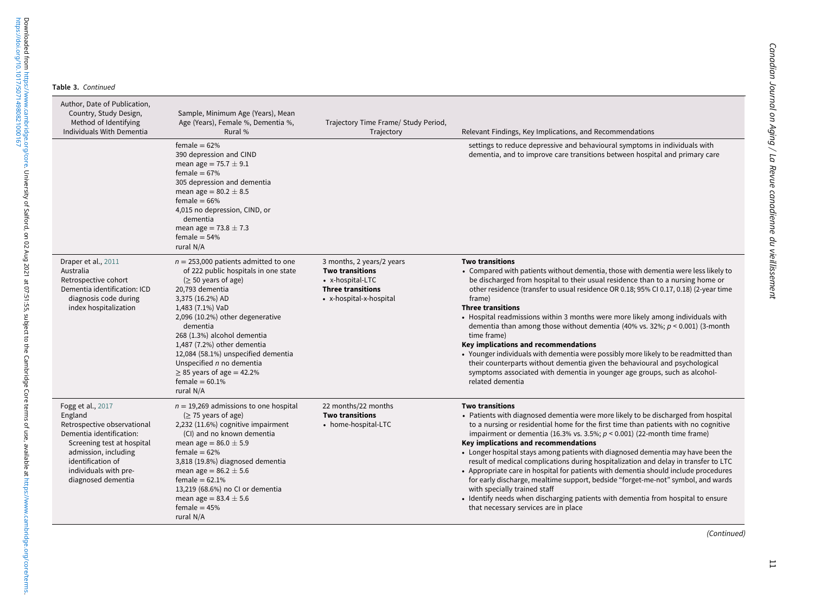|  | Table 3. Continued |
|--|--------------------|
|  |                    |

 $\overline{\phantom{a}}$ 

 $\overline{\phantom{0}}$ 

 $\overline{\phantom{0}}$ 

 $\overline{\phantom{0}}$ 

<https://doi.org/10.1017/S0714980821000167>

Downloaded from https://www.cambridge.org/core. University of Salford, on 02 Aug 2021 at 07:51:55, subject to the Cambridge Core terms of use, available at https://www.cambridge.org/core/terms.<br>https://doi.org/10.1017/5071 Downloaded from [https://www.cambridge.org/core.](https://www.cambridge.org/core) University of Salford, on 02 Aug 2021 at 07:51:55, subject to the Cambridge Core terms of use, available at [https://www.cambridge.org/core/terms.](https://www.cambridge.org/core/terms)

| Sample, Minimum Age (Years), Mean<br>Age (Years), Female %, Dementia %,<br>Rural %                                                                                                                                                                                                                                                                                                                                        | Trajectory Time Frame/ Study Period,<br>Trajectory                                                                             | Relevant Findings, Key Implications, and Recommendations                                                                                                                                                                                                                                                                                                                                                                                                                                                                                                                                                                                                                                                                                                                                                                                     |
|---------------------------------------------------------------------------------------------------------------------------------------------------------------------------------------------------------------------------------------------------------------------------------------------------------------------------------------------------------------------------------------------------------------------------|--------------------------------------------------------------------------------------------------------------------------------|----------------------------------------------------------------------------------------------------------------------------------------------------------------------------------------------------------------------------------------------------------------------------------------------------------------------------------------------------------------------------------------------------------------------------------------------------------------------------------------------------------------------------------------------------------------------------------------------------------------------------------------------------------------------------------------------------------------------------------------------------------------------------------------------------------------------------------------------|
| female = $62%$<br>390 depression and CIND<br>mean age = $75.7 \pm 9.1$<br>female = $67%$<br>305 depression and dementia<br>mean age = $80.2 \pm 8.5$<br>female = $66%$<br>4,015 no depression, CIND, or<br>dementia<br>mean age = $73.8 \pm 7.3$<br>female $=$ 54%<br>rural N/A                                                                                                                                           |                                                                                                                                | settings to reduce depressive and behavioural symptoms in individuals with<br>dementia, and to improve care transitions between hospital and primary care                                                                                                                                                                                                                                                                                                                                                                                                                                                                                                                                                                                                                                                                                    |
| $n = 253,000$ patients admitted to one<br>of 222 public hospitals in one state<br>$($ > 50 years of age)<br>20,793 dementia<br>3,375 (16.2%) AD<br>1,483 (7.1%) VaD<br>2,096 (10.2%) other degenerative<br>dementia<br>268 (1.3%) alcohol dementia<br>1,487 (7.2%) other dementia<br>12,084 (58.1%) unspecified dementia<br>Unspecified n no dementia<br>$\geq$ 85 years of age = 42.2%<br>female = $60.1\%$<br>rural N/A | 3 months, 2 years/2 years<br><b>Two transitions</b><br>• x-hospital-LTC<br><b>Three transitions</b><br>• x-hospital-x-hospital | <b>Two transitions</b><br>• Compared with patients without dementia, those with dementia were less likely to<br>be discharged from hospital to their usual residence than to a nursing home or<br>other residence (transfer to usual residence OR 0.18; 95% CI 0.17, 0.18) (2-year time<br>frame)<br><b>Three transitions</b><br>• Hospital readmissions within 3 months were more likely among individuals with<br>dementia than among those without dementia (40% vs. 32%; $p < 0.001$ ) (3-month<br>time frame)<br>Key implications and recommendations<br>• Younger individuals with dementia were possibly more likely to be readmitted than<br>their counterparts without dementia given the behavioural and psychological<br>symptoms associated with dementia in younger age groups, such as alcohol-<br>related dementia            |
| $n = 19,269$ admissions to one hospital<br>$(≥ 75$ years of age)<br>2,232 (11.6%) cognitive impairment<br>(CI) and no known dementia<br>mean age = $86.0 \pm 5.9$<br>female = $62%$<br>3,818 (19.8%) diagnosed dementia<br>mean age = $86.2 \pm 5.6$<br>female $= 62.1\%$<br>13,219 (68.6%) no CI or dementia<br>mean age = $83.4 \pm 5.6$<br>female = $45%$<br>rural N/A                                                 | 22 months/22 months<br><b>Two transitions</b><br>• home-hospital-LTC                                                           | <b>Two transitions</b><br>• Patients with diagnosed dementia were more likely to be discharged from hospital<br>to a nursing or residential home for the first time than patients with no cognitive<br>impairment or dementia (16.3% vs. 3.5%; $p < 0.001$ ) (22-month time frame)<br>Key implications and recommendations<br>• Longer hospital stays among patients with diagnosed dementia may have been the<br>result of medical complications during hospitalization and delay in transfer to LTC<br>• Appropriate care in hospital for patients with dementia should include procedures<br>for early discharge, mealtime support, bedside "forget-me-not" symbol, and wards<br>with specially trained staff<br>• Identify needs when discharging patients with dementia from hospital to ensure<br>that necessary services are in place |
|                                                                                                                                                                                                                                                                                                                                                                                                                           |                                                                                                                                |                                                                                                                                                                                                                                                                                                                                                                                                                                                                                                                                                                                                                                                                                                                                                                                                                                              |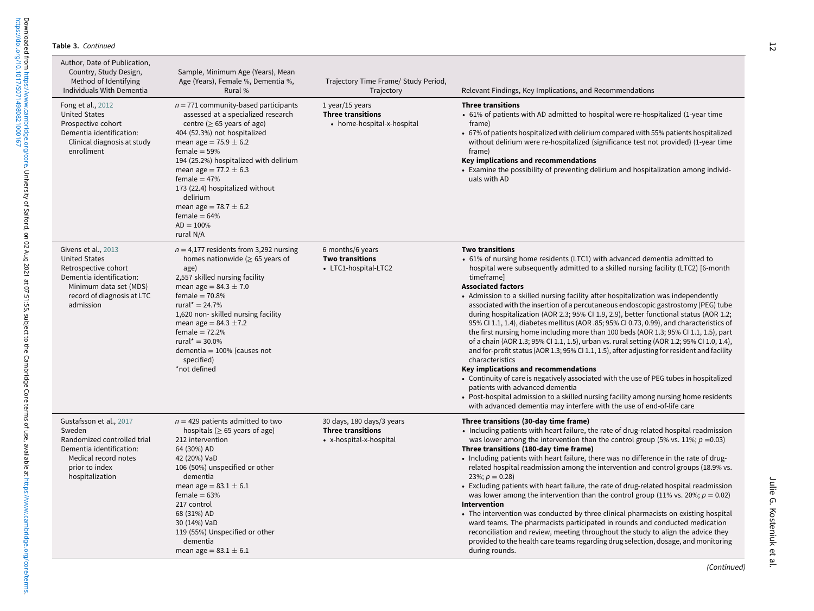| Author, Date of Publication,<br>Country, Study Design,<br>Method of Identifying<br>Individuals With Dementia                                                         | Sample, Minimum Age (Years), Mean<br>Age (Years), Female %, Dementia %,<br>Rural %                                                                                                                                                                                                                                                                                                                                  | Trajectory Time Frame/ Study Period,<br>Trajectory                               | Relevant Findings, Key Implications, and Recommendations                                                                                                                                                                                                                                                                                                                                                                                                                                                                                                                                                                                                                                                                                                                                                                                                                                                                                                                                                                                                                                                                                                                                                                                          |
|----------------------------------------------------------------------------------------------------------------------------------------------------------------------|---------------------------------------------------------------------------------------------------------------------------------------------------------------------------------------------------------------------------------------------------------------------------------------------------------------------------------------------------------------------------------------------------------------------|----------------------------------------------------------------------------------|---------------------------------------------------------------------------------------------------------------------------------------------------------------------------------------------------------------------------------------------------------------------------------------------------------------------------------------------------------------------------------------------------------------------------------------------------------------------------------------------------------------------------------------------------------------------------------------------------------------------------------------------------------------------------------------------------------------------------------------------------------------------------------------------------------------------------------------------------------------------------------------------------------------------------------------------------------------------------------------------------------------------------------------------------------------------------------------------------------------------------------------------------------------------------------------------------------------------------------------------------|
| Fong et al., 2012<br><b>United States</b><br>Prospective cohort<br>Dementia identification:<br>Clinical diagnosis at study<br>enrollment                             | $n = 771$ community-based participants<br>assessed at a specialized research<br>centre ( $\geq$ 65 years of age)<br>404 (52.3%) not hospitalized<br>mean age = $75.9 \pm 6.2$<br>female $=$ 59%<br>194 (25.2%) hospitalized with delirium<br>mean age = $77.2 \pm 6.3$<br>female = $47%$<br>173 (22.4) hospitalized without<br>delirium<br>mean age = $78.7 \pm 6.2$<br>female = $64%$<br>$AD = 100\%$<br>rural N/A | 1 year/15 years<br><b>Three transitions</b><br>• home-hospital-x-hospital        | <b>Three transitions</b><br>• 61% of patients with AD admitted to hospital were re-hospitalized (1-year time<br>frame)<br>• 67% of patients hospitalized with delirium compared with 55% patients hospitalized<br>without delirium were re-hospitalized (significance test not provided) (1-year time<br>frame)<br>Key implications and recommendations<br>• Examine the possibility of preventing delirium and hospitalization among individ-<br>uals with AD                                                                                                                                                                                                                                                                                                                                                                                                                                                                                                                                                                                                                                                                                                                                                                                    |
| Givens et al., 2013<br><b>United States</b><br>Retrospective cohort<br>Dementia identification:<br>Minimum data set (MDS)<br>record of diagnosis at LTC<br>admission | $n = 4,177$ residents from 3,292 nursing<br>homes nationwide ( $\geq$ 65 years of<br>age)<br>2,557 skilled nursing facility<br>mean age = $84.3 \pm 7.0$<br>female $= 70.8%$<br>rural* = $24.7%$<br>1,620 non-skilled nursing facility<br>mean age = $84.3 \pm 7.2$<br>female = $72.2%$<br>rural* = $30.0\%$<br>dementia = $100\%$ (causes not<br>specified)<br>*not defined                                        | 6 months/6 years<br><b>Two transitions</b><br>• LTC1-hospital-LTC2               | <b>Two transitions</b><br>• 61% of nursing home residents (LTC1) with advanced dementia admitted to<br>hospital were subsequently admitted to a skilled nursing facility (LTC2) [6-month<br>timeframel<br><b>Associated factors</b><br>• Admission to a skilled nursing facility after hospitalization was independently<br>associated with the insertion of a percutaneous endoscopic gastrostomy (PEG) tube<br>during hospitalization (AOR 2.3; 95% CI 1.9, 2.9), better functional status (AOR 1.2;<br>95% CI 1.1, 1.4), diabetes mellitus (AOR .85; 95% CI 0.73, 0.99), and characteristics of<br>the first nursing home including more than 100 beds (AOR 1.3; 95% CI 1.1, 1.5), part<br>of a chain (AOR 1.3; 95% CI 1.1, 1.5), urban vs. rural setting (AOR 1.2; 95% CI 1.0, 1.4),<br>and for-profit status (AOR 1.3; 95% CI 1.1, 1.5), after adjusting for resident and facility<br>characteristics<br>Key implications and recommendations<br>• Continuity of care is negatively associated with the use of PEG tubes in hospitalized<br>patients with advanced dementia<br>• Post-hospital admission to a skilled nursing facility among nursing home residents<br>with advanced dementia may interfere with the use of end-of-life care |
| Gustafsson et al., 2017<br>Sweden<br>Randomized controlled trial<br>Dementia identification:<br>Medical record notes<br>prior to index<br>hospitalization            | $n = 429$ patients admitted to two<br>hospitals ( $\geq$ 65 years of age)<br>212 intervention<br>64 (30%) AD<br>42 (20%) VaD<br>106 (50%) unspecified or other<br>dementia<br>mean age = $83.1 \pm 6.1$<br>female = $63%$<br>217 control<br>68 (31%) AD<br>30 (14%) VaD<br>119 (55%) Unspecified or other<br>dementia<br>mean age = $83.1 \pm 6.1$                                                                  | 30 days, 180 days/3 years<br><b>Three transitions</b><br>• x-hospital-x-hospital | Three transitions (30-day time frame)<br>• Including patients with heart failure, the rate of drug-related hospital readmission<br>was lower among the intervention than the control group (5% vs. 11%; $p = 0.03$ )<br>Three transitions (180-day time frame)<br>• Including patients with heart failure, there was no difference in the rate of drug-<br>related hospital readmission among the intervention and control groups (18.9% vs.<br>23%; $p = 0.28$<br>Excluding patients with heart failure, the rate of drug-related hospital readmission<br>was lower among the intervention than the control group (11% vs. 20%; $p = 0.02$ )<br>Intervention<br>• The intervention was conducted by three clinical pharmacists on existing hospital<br>ward teams. The pharmacists participated in rounds and conducted medication<br>reconciliation and review, meeting throughout the study to align the advice they<br>provided to the health care teams regarding drug selection, dosage, and monitoring<br>during rounds.                                                                                                                                                                                                                   |

(Continued)

Julie G. Kosteniuk et al.

Julie G. Kosteniuk et al.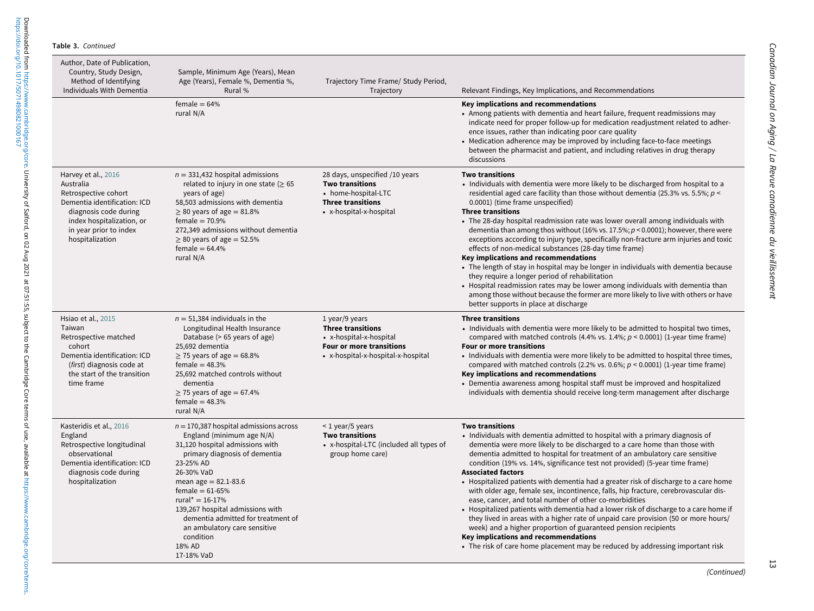| Author, Date of Publication,<br>Country, Study Design,<br>Method of Identifying<br>Individuals With Dementia                                                                                | Sample, Minimum Age (Years), Mean<br>Age (Years), Female %, Dementia %,<br>Rural %                                                                                                                                                                                                                                                                                                          | Trajectory Time Frame/ Study Period,<br>Trajectory                                                                                      | Relevant Findings, Key Implications, and Recommendations                                                                                                                                                                                                                                                                                                                                                                                                                                                                                                                                                                                                                                                                                                                                                                                                                                                                                                                                          |
|---------------------------------------------------------------------------------------------------------------------------------------------------------------------------------------------|---------------------------------------------------------------------------------------------------------------------------------------------------------------------------------------------------------------------------------------------------------------------------------------------------------------------------------------------------------------------------------------------|-----------------------------------------------------------------------------------------------------------------------------------------|---------------------------------------------------------------------------------------------------------------------------------------------------------------------------------------------------------------------------------------------------------------------------------------------------------------------------------------------------------------------------------------------------------------------------------------------------------------------------------------------------------------------------------------------------------------------------------------------------------------------------------------------------------------------------------------------------------------------------------------------------------------------------------------------------------------------------------------------------------------------------------------------------------------------------------------------------------------------------------------------------|
|                                                                                                                                                                                             | $female = 64%$<br>rural N/A                                                                                                                                                                                                                                                                                                                                                                 |                                                                                                                                         | Key implications and recommendations<br>• Among patients with dementia and heart failure, frequent readmissions may<br>indicate need for proper follow-up for medication readjustment related to adher-<br>ence issues, rather than indicating poor care quality<br>• Medication adherence may be improved by including face-to-face meetings<br>between the pharmacist and patient, and including relatives in drug therapy<br>discussions                                                                                                                                                                                                                                                                                                                                                                                                                                                                                                                                                       |
| Harvey et al., 2016<br>Australia<br>Retrospective cohort<br>Dementia identification: ICD<br>diagnosis code during<br>index hospitalization, or<br>in year prior to index<br>hospitalization | $n = 331,432$ hospital admissions<br>related to injury in one state ( $\geq 65$<br>years of age)<br>58,503 admissions with dementia<br>$\geq$ 80 years of age = 81.8%<br>female = $70.9%$<br>272,349 admissions without dementia<br>$\geq$ 80 years of age = 52.5%<br>female = $64.4%$<br>rural N/A                                                                                         | 28 days, unspecified /10 years<br><b>Two transitions</b><br>• home-hospital-LTC<br><b>Three transitions</b><br>• x-hospital-x-hospital  | <b>Two transitions</b><br>• Individuals with dementia were more likely to be discharged from hospital to a<br>residential aged care facility than those without dementia (25.3% vs. 5.5%; $p <$<br>0.0001) (time frame unspecified)<br><b>Three transitions</b><br>• The 28-day hospital readmission rate was lower overall among individuals with<br>dementia than among thos without (16% vs. 17.5%; $p < 0.0001$ ); however, there were<br>exceptions according to injury type, specifically non-fracture arm injuries and toxic<br>effects of non-medical substances (28-day time frame)<br>Key implications and recommendations<br>• The length of stay in hospital may be longer in individuals with dementia because<br>they require a longer period of rehabilitation<br>• Hospital readmission rates may be lower among individuals with dementia than<br>among those without because the former are more likely to live with others or have<br>better supports in place at discharge    |
| Hsiao et al., 2015<br>Taiwan<br>Retrospective matched<br>cohort<br>Dementia identification: ICD<br>(first) diagnosis code at<br>the start of the transition<br>time frame                   | $n = 51,384$ individuals in the<br>Longitudinal Health Insurance<br>Database (> 65 years of age)<br>25,692 dementia<br>$\geq$ 75 years of age = 68.8%<br>female = $48.3%$<br>25.692 matched controls without<br>dementia<br>$\geq$ 75 years of age = 67.4%<br>female = $48.3%$<br>rural N/A                                                                                                 | 1 year/9 years<br><b>Three transitions</b><br>• x-hospital-x-hospital<br>Four or more transitions<br>• x-hospital-x-hospital-x-hospital | <b>Three transitions</b><br>• Individuals with dementia were more likely to be admitted to hospital two times,<br>compared with matched controls (4.4% vs. 1.4%; $p < 0.0001$ ) (1-year time frame)<br><b>Four or more transitions</b><br>• Individuals with dementia were more likely to be admitted to hospital three times,<br>compared with matched controls (2.2% vs. 0.6%; $p < 0.0001$ ) (1-year time frame)<br>Key implications and recommendations<br>• Dementia awareness among hospital staff must be improved and hospitalized<br>individuals with dementia should receive long-term management after discharge                                                                                                                                                                                                                                                                                                                                                                       |
| Kasteridis et al., 2016<br>England<br>Retrospective longitudinal<br>observational<br>Dementia identification: ICD<br>diagnosis code during<br>hospitalization                               | $n = 170,387$ hospital admissions across<br>England (minimum age N/A)<br>31,120 hospital admissions with<br>primary diagnosis of dementia<br>23-25% AD<br>26-30% VaD<br>mean age = $82.1 - 83.6$<br>female = $61-65%$<br>rural* = $16 - 17%$<br>139,267 hospital admissions with<br>dementia admitted for treatment of<br>an ambulatory care sensitive<br>condition<br>18% AD<br>17-18% VaD | $<$ 1 year/5 years<br><b>Two transitions</b><br>• x-hospital-LTC (included all types of<br>group home care)                             | <b>Two transitions</b><br>• Individuals with dementia admitted to hospital with a primary diagnosis of<br>dementia were more likely to be discharged to a care home than those with<br>dementia admitted to hospital for treatment of an ambulatory care sensitive<br>condition (19% vs. 14%, significance test not provided) (5-year time frame)<br><b>Associated factors</b><br>• Hospitalized patients with dementia had a greater risk of discharge to a care home<br>with older age, female sex, incontinence, falls, hip fracture, cerebrovascular dis-<br>ease, cancer, and total number of other co-morbidities<br>• Hospitalized patients with dementia had a lower risk of discharge to a care home if<br>they lived in areas with a higher rate of unpaid care provision (50 or more hours/<br>week) and a higher proportion of guaranteed pension recipients<br>Key implications and recommendations<br>• The risk of care home placement may be reduced by addressing important risk |

13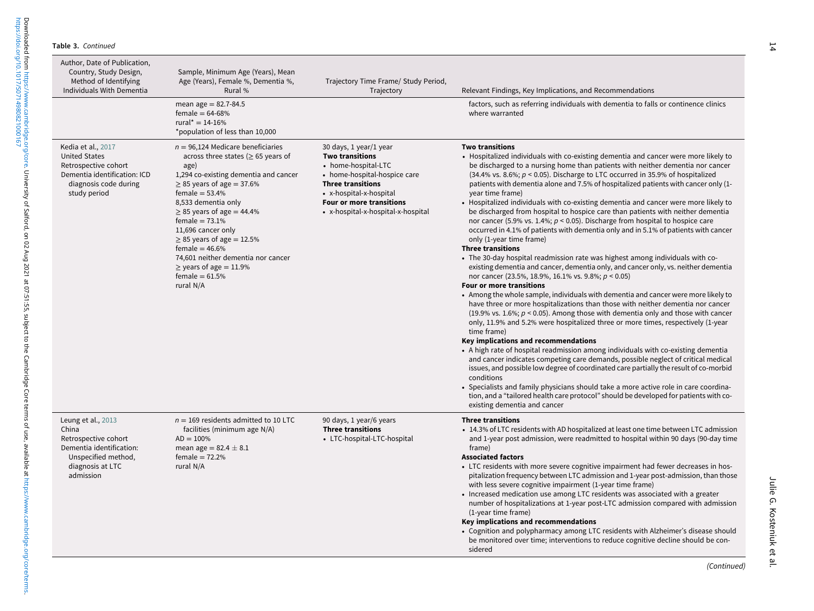| Author, Date of Publication,<br>Country, Study Design,<br>Method of Identifying<br>Individuals With Dementia                                | Sample, Minimum Age (Years), Mean<br>Age (Years), Female %, Dementia %,<br>Rural %                                                                                                                                                                                                                                                                                                                                                                   | Trajectory Time Frame/ Study Period,<br>Trajectory                                                                                                                                                                                      | Relevant Findings, Key Implications, and Recommendations                                                                                                                                                                                                                                                                                                                                                                                                                                                                                                                                                                                                                                                                                                                                                                                                                                                                                                                                                                                                                                                                                                                                                                                                                                                                                                                                                                                                                                                                                                                                                                                                                                                                                                                                                                                                                                                                                                                                          |
|---------------------------------------------------------------------------------------------------------------------------------------------|------------------------------------------------------------------------------------------------------------------------------------------------------------------------------------------------------------------------------------------------------------------------------------------------------------------------------------------------------------------------------------------------------------------------------------------------------|-----------------------------------------------------------------------------------------------------------------------------------------------------------------------------------------------------------------------------------------|---------------------------------------------------------------------------------------------------------------------------------------------------------------------------------------------------------------------------------------------------------------------------------------------------------------------------------------------------------------------------------------------------------------------------------------------------------------------------------------------------------------------------------------------------------------------------------------------------------------------------------------------------------------------------------------------------------------------------------------------------------------------------------------------------------------------------------------------------------------------------------------------------------------------------------------------------------------------------------------------------------------------------------------------------------------------------------------------------------------------------------------------------------------------------------------------------------------------------------------------------------------------------------------------------------------------------------------------------------------------------------------------------------------------------------------------------------------------------------------------------------------------------------------------------------------------------------------------------------------------------------------------------------------------------------------------------------------------------------------------------------------------------------------------------------------------------------------------------------------------------------------------------------------------------------------------------------------------------------------------------|
|                                                                                                                                             | mean age = $82.7 - 84.5$<br>female = $64 - 68%$<br>rural <sup>*</sup> = $14 - 16%$<br>*population of less than 10,000                                                                                                                                                                                                                                                                                                                                |                                                                                                                                                                                                                                         | factors, such as referring individuals with dementia to falls or continence clinics<br>where warranted                                                                                                                                                                                                                                                                                                                                                                                                                                                                                                                                                                                                                                                                                                                                                                                                                                                                                                                                                                                                                                                                                                                                                                                                                                                                                                                                                                                                                                                                                                                                                                                                                                                                                                                                                                                                                                                                                            |
| Kedia et al., 2017<br><b>United States</b><br>Retrospective cohort<br>Dementia identification: ICD<br>diagnosis code during<br>study period | $n = 96,124$ Medicare beneficiaries<br>across three states ( $\geq$ 65 years of<br>age)<br>1,294 co-existing dementia and cancer<br>$\geq$ 85 years of age = 37.6%<br>female = $53.4%$<br>8,533 dementia only<br>$\geq$ 85 years of age = 44.4%<br>female = $73.1%$<br>11,696 cancer only<br>$\geq$ 85 years of age = 12.5%<br>female = $46.6%$<br>74,601 neither dementia nor cancer<br>$\ge$ years of age = 11.9%<br>female = $61.5%$<br>rural N/A | 30 days, 1 year/1 year<br><b>Two transitions</b><br>• home-hospital-LTC<br>• home-hospital-hospice care<br><b>Three transitions</b><br>• x-hospital-x-hospital<br><b>Four or more transitions</b><br>• x-hospital-x-hospital-x-hospital | <b>Two transitions</b><br>• Hospitalized individuals with co-existing dementia and cancer were more likely to<br>be discharged to a nursing home than patients with neither dementia nor cancer<br>(34.4% vs. 8.6%; $p < 0.05$ ). Discharge to LTC occurred in 35.9% of hospitalized<br>patients with dementia alone and 7.5% of hospitalized patients with cancer only (1-<br>year time frame)<br>• Hospitalized individuals with co-existing dementia and cancer were more likely to<br>be discharged from hospital to hospice care than patients with neither dementia<br>nor cancer (5.9% vs. 1.4%; $p < 0.05$ ). Discharge from hospital to hospice care<br>occurred in 4.1% of patients with dementia only and in 5.1% of patients with cancer<br>only (1-year time frame)<br><b>Three transitions</b><br>• The 30-day hospital readmission rate was highest among individuals with co-<br>existing dementia and cancer, dementia only, and cancer only, vs. neither dementia<br>nor cancer (23.5%, 18.9%, 16.1% vs. 9.8%; $p < 0.05$ )<br>Four or more transitions<br>• Among the whole sample, individuals with dementia and cancer were more likely to<br>have three or more hospitalizations than those with neither dementia nor cancer<br>$(19.9\% \text{ vs. } 1.6\%; p < 0.05)$ . Among those with dementia only and those with cancer<br>only, 11.9% and 5.2% were hospitalized three or more times, respectively (1-year<br>time frame)<br>Key implications and recommendations<br>• A high rate of hospital readmission among individuals with co-existing dementia<br>and cancer indicates competing care demands, possible neglect of critical medical<br>issues, and possible low degree of coordinated care partially the result of co-morbid<br>conditions<br>• Specialists and family physicians should take a more active role in care coordina-<br>tion, and a "tailored health care protocol" should be developed for patients with co-<br>existing dementia and cancer |
| Leung et al., 2013<br>China<br>Retrospective cohort<br>Dementia identification:<br>Unspecified method,<br>diagnosis at LTC<br>admission     | $n = 169$ residents admitted to 10 LTC<br>facilities (minimum age N/A)<br>$AD = 100\%$<br>mean age = $82.4 \pm 8.1$<br>female = $72.2%$<br>rural N/A                                                                                                                                                                                                                                                                                                 | 90 days, 1 year/6 years<br><b>Three transitions</b><br>• LTC-hospital-LTC-hospital                                                                                                                                                      | <b>Three transitions</b><br>• 14.3% of LTC residents with AD hospitalized at least one time between LTC admission<br>and 1-year post admission, were readmitted to hospital within 90 days (90-day time<br>frame)<br><b>Associated factors</b><br>• LTC residents with more severe cognitive impairment had fewer decreases in hos-<br>pitalization frequency between LTC admission and 1-year post-admission, than those<br>with less severe cognitive impairment (1-year time frame)<br>• Increased medication use among LTC residents was associated with a greater<br>number of hospitalizations at 1-year post-LTC admission compared with admission<br>(1-year time frame)<br>Key implications and recommendations<br>• Cognition and polypharmacy among LTC residents with Alzheimer's disease should<br>be monitored over time; interventions to reduce cognitive decline should be con-<br>sidered                                                                                                                                                                                                                                                                                                                                                                                                                                                                                                                                                                                                                                                                                                                                                                                                                                                                                                                                                                                                                                                                                       |

<https://doi.org/10.1017/S0714980821000167>

(Continued)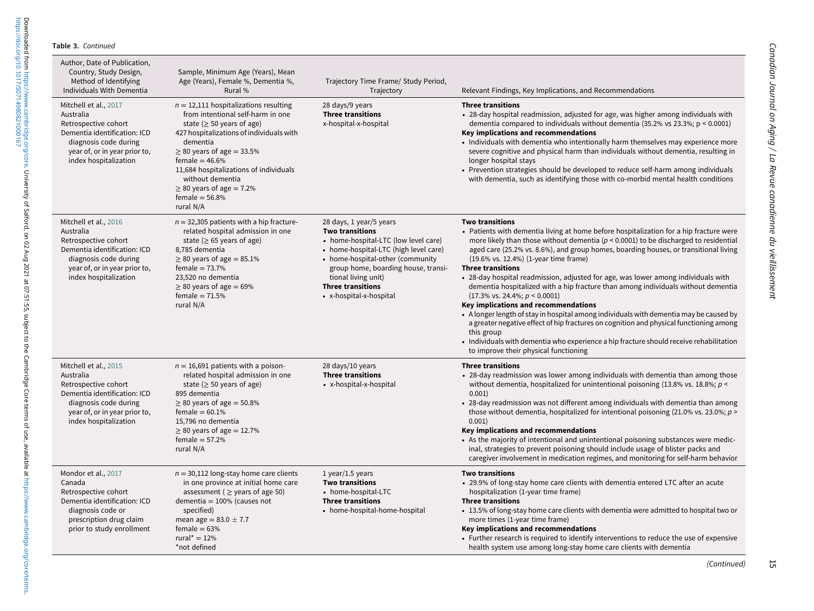<https://doi.org/10.1017/S0714980821000167>

Downloaded from https://www.cambridge.org/core. University of Salford, on 02 Aug 2021 at 07:51:55, subject to the Cambridge Core terms of use, available at https://www.cambridge.org/core/terms.<br>https://doi.org/10.1017/S071 Downloaded from [https://www.cambridge.org/core.](https://www.cambridge.org/core) University of Salford, on 02 Aug 2021 at 07:51:55, subject to the Cambridge Core terms of use, available at [https://www.cambridge.org/core/terms.](https://www.cambridge.org/core/terms)

| Author, Date of Publication,<br>Country, Study Design,<br>Method of Identifying<br>Individuals With Dementia                                                                  | Sample, Minimum Age (Years), Mean<br>Age (Years), Female %, Dementia %,<br>Rural %                                                                                                                                                                                                                                                                            | Trajectory Time Frame/ Study Period,<br>Trajectory                                                                                                                                                                                                                                          | Relevant Findings, Key Implications, and Recommendations                                                                                                                                                                                                                                                                                                                                                                                                                                                                                                                                                                                                                                                                                                                                                                                                                                                                                                                                     |
|-------------------------------------------------------------------------------------------------------------------------------------------------------------------------------|---------------------------------------------------------------------------------------------------------------------------------------------------------------------------------------------------------------------------------------------------------------------------------------------------------------------------------------------------------------|---------------------------------------------------------------------------------------------------------------------------------------------------------------------------------------------------------------------------------------------------------------------------------------------|----------------------------------------------------------------------------------------------------------------------------------------------------------------------------------------------------------------------------------------------------------------------------------------------------------------------------------------------------------------------------------------------------------------------------------------------------------------------------------------------------------------------------------------------------------------------------------------------------------------------------------------------------------------------------------------------------------------------------------------------------------------------------------------------------------------------------------------------------------------------------------------------------------------------------------------------------------------------------------------------|
| Mitchell et al., 2017<br>Australia<br>Retrospective cohort<br>Dementia identification: ICD<br>diagnosis code during<br>year of, or in year prior to,<br>index hospitalization | $n = 12,111$ hospitalizations resulting<br>from intentional self-harm in one<br>state ( $\geq$ 50 years of age)<br>427 hospitalizations of individuals with<br>dementia<br>$\geq$ 80 years of age = 33.5%<br>female = $46.6%$<br>11,684 hospitalizations of individuals<br>without dementia<br>$\geq$ 80 years of age = 7.2%<br>female = $56.8%$<br>rural N/A | 28 days/9 years<br><b>Three transitions</b><br>x-hospital-x-hospital                                                                                                                                                                                                                        | <b>Three transitions</b><br>• 28-day hospital readmission, adjusted for age, was higher among individuals with<br>dementia compared to individuals without dementia (35.2% vs 23.3%; $p < 0.0001$ )<br>Key implications and recommendations<br>• Individuals with dementia who intentionally harm themselves may experience more<br>severe cognitive and physical harm than individuals without dementia, resulting in<br>longer hospital stays<br>• Prevention strategies should be developed to reduce self-harm among individuals<br>with dementia, such as identifying those with co-morbid mental health conditions                                                                                                                                                                                                                                                                                                                                                                     |
| Mitchell et al., 2016<br>Australia<br>Retrospective cohort<br>Dementia identification: ICD<br>diagnosis code during<br>year of, or in year prior to,<br>index hospitalization | $n = 32,305$ patients with a hip fracture-<br>related hospital admission in one<br>state ( $\geq$ 65 years of age)<br>8,785 dementia<br>$\geq$ 80 years of age = 85.1%<br>female = $73.7%$<br>23,520 no dementia<br>$\geq$ 80 years of age = 69%<br>female $= 71.5%$<br>rural N/A                                                                             | 28 days, 1 year/5 years<br><b>Two transitions</b><br>• home-hospital-LTC (low level care)<br>• home-hospital-LTC (high level care)<br>• home-hospital-other (community<br>group home, boarding house, transi-<br>tional living unit)<br><b>Three transitions</b><br>• x-hospital-x-hospital | <b>Two transitions</b><br>• Patients with dementia living at home before hospitalization for a hip fracture were<br>more likely than those without dementia ( $p < 0.0001$ ) to be discharged to residential<br>aged care (25.2% vs. 8.6%), and group homes, boarding houses, or transitional living<br>$(19.6\% \text{ vs. } 12.4\%)$ (1-year time frame)<br><b>Three transitions</b><br>• 28-day hospital readmission, adjusted for age, was lower among individuals with<br>dementia hospitalized with a hip fracture than among individuals without dementia<br>$(17.3\% \text{ vs. } 24.4\%; p < 0.0001)$<br>Key implications and recommendations<br>• A longer length of stay in hospital among individuals with dementia may be caused by<br>a greater negative effect of hip fractures on cognition and physical functioning among<br>this group<br>• Individuals with dementia who experience a hip fracture should receive rehabilitation<br>to improve their physical functioning |
| Mitchell et al., 2015<br>Australia<br>Retrospective cohort<br>Dementia identification: ICD<br>diagnosis code during<br>year of, or in year prior to,<br>index hospitalization | $n = 16,691$ patients with a poison-<br>related hospital admission in one<br>state ( $\geq$ 50 years of age)<br>895 dementia<br>$\geq$ 80 years of age = 50.8%<br>female = $60.1\%$<br>15,796 no dementia<br>$\geq$ 80 years of age = 12.7%<br>female = $57.2%$<br>rural N/A                                                                                  | 28 days/10 years<br><b>Three transitions</b><br>• x-hospital-x-hospital                                                                                                                                                                                                                     | <b>Three transitions</b><br>• 28-day readmission was lower among individuals with dementia than among those<br>without dementia, hospitalized for unintentional poisoning (13.8% vs. 18.8%; $p \leq$<br>0.001)<br>• 28-day readmission was not different among individuals with dementia than among<br>those without dementia, hospitalized for intentional poisoning (21.0% vs. 23.0%; $p >$<br>0.001)<br>Key implications and recommendations<br>• As the majority of intentional and unintentional poisoning substances were medic-<br>inal, strategies to prevent poisoning should include usage of blister packs and<br>caregiver involvement in medication regimes, and monitoring for self-harm behavior                                                                                                                                                                                                                                                                              |
| Mondor et al., 2017<br>Canada<br>Retrospective cohort<br>Dementia identification: ICD<br>diagnosis code or<br>prescription drug claim<br>prior to study enrollment            | $n = 30,112$ long-stay home care clients<br>in one province at initial home care<br>assessment ( $\ge$ years of age 50)<br>dementia = $100\%$ (causes not<br>specified)<br>mean age = $83.0 \pm 7.7$<br>female = $63%$<br>rural* = $12\%$<br>*not defined                                                                                                     | 1 year/1.5 years<br><b>Two transitions</b><br>• home-hospital-LTC<br><b>Three transitions</b><br>• home-hospital-home-hospital                                                                                                                                                              | <b>Two transitions</b><br>• 29.9% of long-stay home care clients with dementia entered LTC after an acute<br>hospitalization (1-year time frame)<br><b>Three transitions</b><br>• 13.5% of long-stay home care clients with dementia were admitted to hospital two or<br>more times (1-year time frame)<br>Key implications and recommendations<br>• Further research is required to identify interventions to reduce the use of expensive<br>health system use among long-stay home care clients with dementia                                                                                                                                                                                                                                                                                                                                                                                                                                                                              |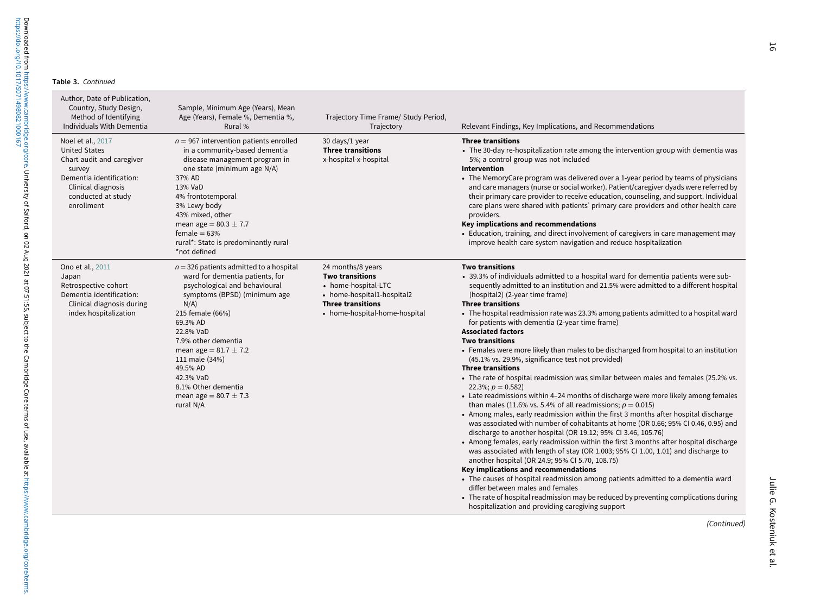| Author, Date of Publication,<br>Country, Study Design,<br>Method of Identifying<br>Individuals With Dementia                                                           | Sample, Minimum Age (Years), Mean<br>Age (Years), Female %, Dementia %,<br>Rural %                                                                                                                                                                                                                                                                                    | Trajectory Time Frame/ Study Period,<br>Trajectory                                                                                                            | Relevant Findings, Key Implications, and Recommendations                                                                                                                                                                                                                                                                                                                                                                                                                                                                                                                                                                                                                                                                                                                                                                                                                                                                                                                                                                                                                                                                                                                                                                                                                                                                                                                                                                                                                                                                                                                                                                                                                                                      |
|------------------------------------------------------------------------------------------------------------------------------------------------------------------------|-----------------------------------------------------------------------------------------------------------------------------------------------------------------------------------------------------------------------------------------------------------------------------------------------------------------------------------------------------------------------|---------------------------------------------------------------------------------------------------------------------------------------------------------------|---------------------------------------------------------------------------------------------------------------------------------------------------------------------------------------------------------------------------------------------------------------------------------------------------------------------------------------------------------------------------------------------------------------------------------------------------------------------------------------------------------------------------------------------------------------------------------------------------------------------------------------------------------------------------------------------------------------------------------------------------------------------------------------------------------------------------------------------------------------------------------------------------------------------------------------------------------------------------------------------------------------------------------------------------------------------------------------------------------------------------------------------------------------------------------------------------------------------------------------------------------------------------------------------------------------------------------------------------------------------------------------------------------------------------------------------------------------------------------------------------------------------------------------------------------------------------------------------------------------------------------------------------------------------------------------------------------------|
| Noel et al., 2017<br><b>United States</b><br>Chart audit and caregiver<br>survey<br>Dementia identification:<br>Clinical diagnosis<br>conducted at study<br>enrollment | $n = 967$ intervention patients enrolled<br>in a community-based dementia<br>disease management program in<br>one state (minimum age N/A)<br>37% AD<br>13% VaD<br>4% frontotemporal<br>3% Lewy body<br>43% mixed, other<br>mean age = $80.3 \pm 7.7$<br>female $= 63%$<br>rural*: State is predominantly rural<br>*not defined                                        | 30 days/1 year<br><b>Three transitions</b><br>x-hospital-x-hospital                                                                                           | <b>Three transitions</b><br>• The 30-day re-hospitalization rate among the intervention group with dementia was<br>5%; a control group was not included<br>Intervention<br>• The MemoryCare program was delivered over a 1-year period by teams of physicians<br>and care managers (nurse or social worker). Patient/caregiver dyads were referred by<br>their primary care provider to receive education, counseling, and support. Individual<br>care plans were shared with patients' primary care providers and other health care<br>providers.<br>Key implications and recommendations<br>• Education, training, and direct involvement of caregivers in care management may<br>improve health care system navigation and reduce hospitalization                                                                                                                                                                                                                                                                                                                                                                                                                                                                                                                                                                                                                                                                                                                                                                                                                                                                                                                                                          |
| Ono et al., 2011<br>Japan<br>Retrospective cohort<br>Dementia identification:<br>Clinical diagnosis during<br>index hospitalization                                    | $n = 326$ patients admitted to a hospital<br>ward for dementia patients, for<br>psychological and behavioural<br>symptoms (BPSD) (minimum age<br>$N/A$ )<br>215 female (66%)<br>69.3% AD<br>22.8% VaD<br>7.9% other dementia<br>mean age = $81.7 \pm 7.2$<br>111 male (34%)<br>49.5% AD<br>42.3% VaD<br>8.1% Other dementia<br>mean age = $80.7 \pm 7.3$<br>rural N/A | 24 months/8 years<br><b>Two transitions</b><br>• home-hospital-LTC<br>• home-hospital1-hospital2<br><b>Three transitions</b><br>• home-hospital-home-hospital | <b>Two transitions</b><br>• 39.3% of individuals admitted to a hospital ward for dementia patients were sub-<br>sequently admitted to an institution and 21.5% were admitted to a different hospital<br>(hospital2) (2-year time frame)<br><b>Three transitions</b><br>• The hospital readmission rate was 23.3% among patients admitted to a hospital ward<br>for patients with dementia (2-year time frame)<br><b>Associated factors</b><br><b>Two transitions</b><br>• Females were more likely than males to be discharged from hospital to an institution<br>(45.1% vs. 29.9%, significance test not provided)<br><b>Three transitions</b><br>• The rate of hospital readmission was similar between males and females (25.2% vs.<br>22.3%; $p = 0.582$<br>• Late readmissions within 4-24 months of discharge were more likely among females<br>than males (11.6% vs. 5.4% of all readmissions; $p = 0.015$ )<br>• Among males, early readmission within the first 3 months after hospital discharge<br>was associated with number of cohabitants at home (OR 0.66; 95% CI 0.46, 0.95) and<br>discharge to another hospital (OR 19.12; 95% CI 3.46, 105.76)<br>• Among females, early readmission within the first 3 months after hospital discharge<br>was associated with length of stay (OR 1.003; 95% CI 1.00, 1.01) and discharge to<br>another hospital (OR 24.9; 95% CI 5.70, 108.75)<br>Key implications and recommendations<br>• The causes of hospital readmission among patients admitted to a dementia ward<br>differ between males and females<br>• The rate of hospital readmission may be reduced by preventing complications during<br>hospitalization and providing caregiving support |
|                                                                                                                                                                        |                                                                                                                                                                                                                                                                                                                                                                       |                                                                                                                                                               | (Continued)                                                                                                                                                                                                                                                                                                                                                                                                                                                                                                                                                                                                                                                                                                                                                                                                                                                                                                                                                                                                                                                                                                                                                                                                                                                                                                                                                                                                                                                                                                                                                                                                                                                                                                   |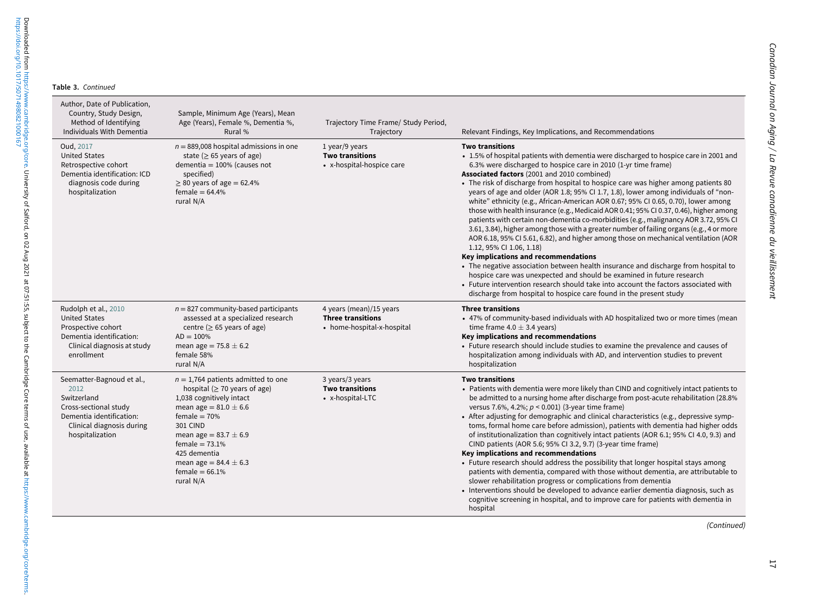| Author, Date of Publication,<br>Country, Study Design,<br>Method of Identifying<br>Individuals With Dementia                                          | Sample, Minimum Age (Years), Mean<br>Age (Years), Female %, Dementia %,<br>Rural %                                                                                                                                                                                                                       | Trajectory Time Frame/ Study Period,<br>Trajectory                                | Relevant Findings, Key Implications, and Recommendations                                                                                                                                                                                                                                                                                                                                                                                                                                                                                                                                                                                                                                                                                                                                                                                                                                                                                                                                                                                                                                                                                                                                                                                                                 |
|-------------------------------------------------------------------------------------------------------------------------------------------------------|----------------------------------------------------------------------------------------------------------------------------------------------------------------------------------------------------------------------------------------------------------------------------------------------------------|-----------------------------------------------------------------------------------|--------------------------------------------------------------------------------------------------------------------------------------------------------------------------------------------------------------------------------------------------------------------------------------------------------------------------------------------------------------------------------------------------------------------------------------------------------------------------------------------------------------------------------------------------------------------------------------------------------------------------------------------------------------------------------------------------------------------------------------------------------------------------------------------------------------------------------------------------------------------------------------------------------------------------------------------------------------------------------------------------------------------------------------------------------------------------------------------------------------------------------------------------------------------------------------------------------------------------------------------------------------------------|
| Oud, 2017<br><b>United States</b><br>Retrospective cohort<br>Dementia identification: ICD<br>diagnosis code during<br>hospitalization                 | $n = 889,008$ hospital admissions in one<br>state ( $\geq$ 65 years of age)<br>dementia = $100\%$ (causes not<br>specified)<br>$\geq$ 80 years of age = 62.4%<br>female = $64.4%$<br>rural N/A                                                                                                           | 1 year/9 years<br><b>Two transitions</b><br>• x-hospital-hospice care             | <b>Two transitions</b><br>• 1.5% of hospital patients with dementia were discharged to hospice care in 2001 and<br>6.3% were discharged to hospice care in 2010 (1-yr time frame)<br>Associated factors (2001 and 2010 combined)<br>• The risk of discharge from hospital to hospice care was higher among patients 80<br>years of age and older (AOR 1.8; 95% CI 1.7, 1.8), lower among individuals of "non-<br>white" ethnicity (e.g., African-American AOR 0.67; 95% CI 0.65, 0.70), lower among<br>those with health insurance (e.g., Medicaid AOR 0.41; 95% CI 0.37, 0.46), higher among<br>patients with certain non-dementia co-morbidities (e.g., malignancy AOR 3.72, 95% CI<br>3.61, 3.84), higher among those with a greater number of failing organs (e.g., 4 or more<br>AOR 6.18, 95% CI 5.61, 6.82), and higher among those on mechanical ventilation (AOR<br>1.12, 95% CI 1.06, 1.18)<br>Key implications and recommendations<br>• The negative association between health insurance and discharge from hospital to<br>hospice care was unexpected and should be examined in future research<br>• Future intervention research should take into account the factors associated with<br>discharge from hospital to hospice care found in the present study |
| Rudolph et al., 2010<br><b>United States</b><br>Prospective cohort<br>Dementia identification:<br>Clinical diagnosis at study<br>enrollment           | $n = 827$ community-based participants<br>assessed at a specialized research<br>centre ( $\geq$ 65 years of age)<br>$AD = 100\%$<br>mean age = $75.8 \pm 6.2$<br>female 58%<br>rural N/A                                                                                                                 | 4 years (mean)/15 years<br><b>Three transitions</b><br>• home-hospital-x-hospital | <b>Three transitions</b><br>• 47% of community-based individuals with AD hospitalized two or more times (mean<br>time frame 4.0 $\pm$ 3.4 years)<br>Key implications and recommendations<br>• Future research should include studies to examine the prevalence and causes of<br>hospitalization among individuals with AD, and intervention studies to prevent<br>hospitalization                                                                                                                                                                                                                                                                                                                                                                                                                                                                                                                                                                                                                                                                                                                                                                                                                                                                                        |
| Seematter-Bagnoud et al.,<br>2012<br>Switzerland<br>Cross-sectional study<br>Dementia identification:<br>Clinical diagnosis during<br>hospitalization | $n = 1,764$ patients admitted to one<br>hospital ( $\geq$ 70 years of age)<br>1,038 cognitively intact<br>mean age = $81.0 \pm 6.6$<br>female $= 70%$<br><b>301 CIND</b><br>mean age = $83.7 \pm 6.9$<br>female = $73.1%$<br>425 dementia<br>mean age = $84.4 \pm 6.3$<br>female = $66.1\%$<br>rural N/A | 3 years/3 years<br><b>Two transitions</b><br>• x-hospital-LTC                     | <b>Two transitions</b><br>• Patients with dementia were more likely than CIND and cognitively intact patients to<br>be admitted to a nursing home after discharge from post-acute rehabilitation (28.8%)<br>versus 7.6%, 4.2%; $p < 0.001$ ) (3-year time frame)<br>• After adjusting for demographic and clinical characteristics (e.g., depressive symp-<br>toms, formal home care before admission), patients with dementia had higher odds<br>of institutionalization than cognitively intact patients (AOR 6.1; 95% CI 4.0, 9.3) and<br>CIND patients (AOR 5.6; 95% CI 3.2, 9.7) (3-year time frame)<br>Key implications and recommendations<br>• Future research should address the possibility that longer hospital stays among<br>patients with dementia, compared with those without dementia, are attributable to<br>slower rehabilitation progress or complications from dementia<br>• Interventions should be developed to advance earlier dementia diagnosis, such as<br>cognitive screening in hospital, and to improve care for patients with dementia in<br>hospital                                                                                                                                                                                     |

(Continued)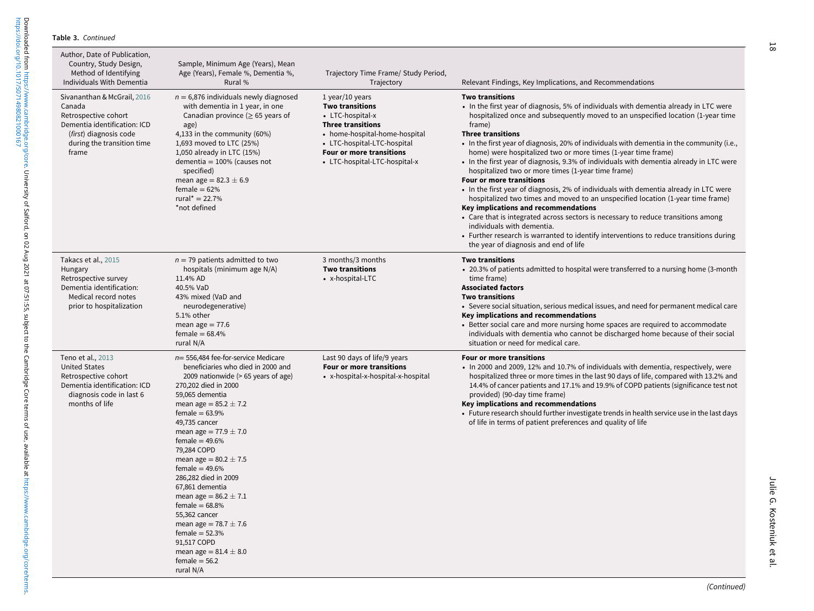| Author, Date of Publication,<br>Country, Study Design,<br>Method of Identifying<br>Individuals With Dementia                                                   | Sample, Minimum Age (Years), Mean<br>Age (Years), Female %, Dementia %,<br>Rural %                                                                                                                                                                                                                                                                                                                                                                                                                                                                                                           | Trajectory Time Frame/ Study Period,<br>Trajectory                                                                                                                                                                              | Relevant Findings, Key Implications, and Recommendations                                                                                                                                                                                                                                                                                                                                                                                                                                                                                                                                                                                                                                                                                                                                                                                                                                                                                                                                                                                                        |
|----------------------------------------------------------------------------------------------------------------------------------------------------------------|----------------------------------------------------------------------------------------------------------------------------------------------------------------------------------------------------------------------------------------------------------------------------------------------------------------------------------------------------------------------------------------------------------------------------------------------------------------------------------------------------------------------------------------------------------------------------------------------|---------------------------------------------------------------------------------------------------------------------------------------------------------------------------------------------------------------------------------|-----------------------------------------------------------------------------------------------------------------------------------------------------------------------------------------------------------------------------------------------------------------------------------------------------------------------------------------------------------------------------------------------------------------------------------------------------------------------------------------------------------------------------------------------------------------------------------------------------------------------------------------------------------------------------------------------------------------------------------------------------------------------------------------------------------------------------------------------------------------------------------------------------------------------------------------------------------------------------------------------------------------------------------------------------------------|
| Sivananthan & McGrail, 2016<br>Canada<br>Retrospective cohort<br>Dementia identification: ICD<br>(first) diagnosis code<br>during the transition time<br>frame | $n = 6,876$ individuals newly diagnosed<br>with dementia in 1 year, in one<br>Canadian province ( $\geq$ 65 years of<br>age)<br>4,133 in the community (60%)<br>1,693 moved to LTC (25%)<br>1,050 already in LTC (15%)<br>dementia = $100\%$ (causes not<br>specified)<br>mean age = $82.3 \pm 6.9$<br>female = $62%$<br>rural* = $22.7%$<br>*not defined                                                                                                                                                                                                                                    | $1$ year/10 years<br><b>Two transitions</b><br>• LTC-hospital-x<br><b>Three transitions</b><br>• home-hospital-home-hospital<br>• LTC-hospital-LTC-hospital<br><b>Four or more transitions</b><br>• LTC-hospital-LTC-hospital-x | <b>Two transitions</b><br>• In the first year of diagnosis, 5% of individuals with dementia already in LTC were<br>hospitalized once and subsequently moved to an unspecified location (1-year time<br>frame)<br><b>Three transitions</b><br>• In the first year of diagnosis, 20% of individuals with dementia in the community (i.e.,<br>home) were hospitalized two or more times (1-year time frame)<br>• In the first year of diagnosis, 9.3% of individuals with dementia already in LTC were<br>hospitalized two or more times (1-year time frame)<br>Four or more transitions<br>• In the first year of diagnosis, 2% of individuals with dementia already in LTC were<br>hospitalized two times and moved to an unspecified location (1-year time frame)<br>Key implications and recommendations<br>• Care that is integrated across sectors is necessary to reduce transitions among<br>individuals with dementia.<br>• Further research is warranted to identify interventions to reduce transitions during<br>the year of diagnosis and end of life |
| Takacs et al., 2015<br>Hungary<br>Retrospective survey<br>Dementia identification:<br>Medical record notes<br>prior to hospitalization                         | $n = 79$ patients admitted to two<br>hospitals (minimum age N/A)<br>11.4% AD<br>40.5% VaD<br>43% mixed (VaD and<br>neurodegenerative)<br>5.1% other<br>mean age $= 77.6$<br>female = $68.4%$<br>rural N/A                                                                                                                                                                                                                                                                                                                                                                                    | 3 months/3 months<br><b>Two transitions</b><br>• x-hospital-LTC                                                                                                                                                                 | <b>Two transitions</b><br>• 20.3% of patients admitted to hospital were transferred to a nursing home (3-month<br>time frame)<br><b>Associated factors</b><br><b>Two transitions</b><br>• Severe social situation, serious medical issues, and need for permanent medical care<br>Key implications and recommendations<br>• Better social care and more nursing home spaces are required to accommodate<br>individuals with dementia who cannot be discharged home because of their social<br>situation or need for medical care.                                                                                                                                                                                                                                                                                                                                                                                                                                                                                                                               |
| Teno et al., 2013<br><b>United States</b><br>Retrospective cohort<br>Dementia identification: ICD<br>diagnosis code in last 6<br>months of life                | $n=$ 556,484 fee-for-service Medicare<br>beneficiaries who died in 2000 and<br>2009 nationwide (> 65 years of age)<br>270,202 died in 2000<br>59,065 dementia<br>mean age = $85.2 \pm 7.2$<br>female = $63.9\%$<br>49,735 cancer<br>mean age = $77.9 \pm 7.0$<br>female = $49.6%$<br>79,284 COPD<br>mean age = $80.2 \pm 7.5$<br>female = $49.6%$<br>286,282 died in 2009<br>67,861 dementia<br>mean age = $86.2 \pm 7.1$<br>female = $68.8\%$<br>55,362 cancer<br>mean age = $78.7 \pm 7.6$<br>female = $52.3%$<br>91,517 COPD<br>mean age = $81.4 \pm 8.0$<br>$female = 56.2$<br>rural N/A | Last 90 days of life/9 years<br>Four or more transitions<br>• x-hospital-x-hospital-x-hospital                                                                                                                                  | Four or more transitions<br>• In 2000 and 2009, 12% and 10.7% of individuals with dementia, respectively, were<br>hospitalized three or more times in the last 90 days of life, compared with 13.2% and<br>14.4% of cancer patients and 17.1% and 19.9% of COPD patients (significance test not<br>provided) (90-day time frame)<br>Key implications and recommendations<br>• Future research should further investigate trends in health service use in the last days<br>of life in terms of patient preferences and quality of life                                                                                                                                                                                                                                                                                                                                                                                                                                                                                                                           |

Julie G. Kosteniuk et al.

Julie G. Kosteniuk et al.

18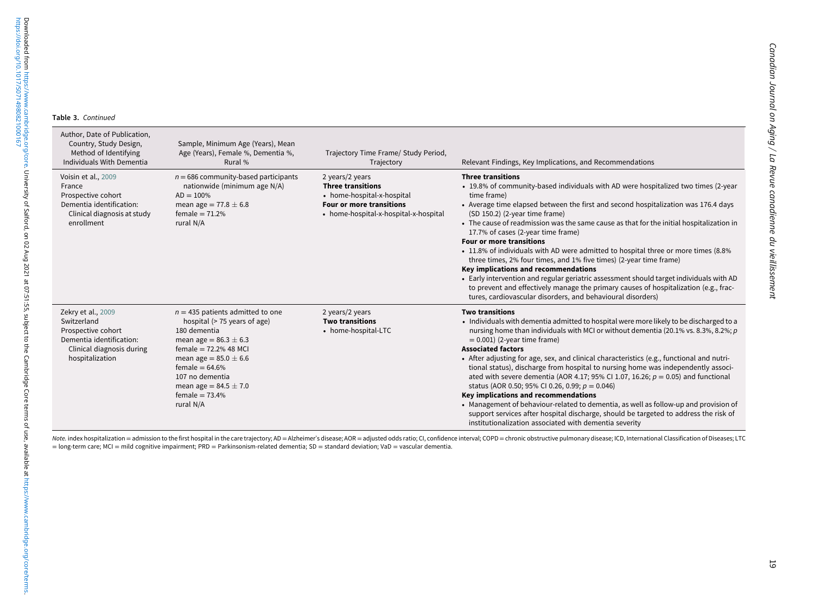| Author, Date of Publication,<br>Country, Study Design,<br>Method of Identifying<br>Individuals With Dementia                        | Sample, Minimum Age (Years), Mean<br>Age (Years), Female %, Dementia %,<br>Rural %                                                                                                                                                                                            | Trajectory Time Frame/ Study Period,<br>Trajectory                                                                                                    | Relevant Findings, Key Implications, and Recommendations                                                                                                                                                                                                                                                                                                                                                                                                                                                                                                                                                                                                                                                                                                                                                                                                                                       |
|-------------------------------------------------------------------------------------------------------------------------------------|-------------------------------------------------------------------------------------------------------------------------------------------------------------------------------------------------------------------------------------------------------------------------------|-------------------------------------------------------------------------------------------------------------------------------------------------------|------------------------------------------------------------------------------------------------------------------------------------------------------------------------------------------------------------------------------------------------------------------------------------------------------------------------------------------------------------------------------------------------------------------------------------------------------------------------------------------------------------------------------------------------------------------------------------------------------------------------------------------------------------------------------------------------------------------------------------------------------------------------------------------------------------------------------------------------------------------------------------------------|
| Voisin et al., 2009<br>France<br>Prospective cohort<br>Dementia identification:<br>Clinical diagnosis at study<br>enrollment        | $n = 686$ community-based participants<br>nationwide (minimum age N/A)<br>$AD = 100\%$<br>mean age = $77.8 \pm 6.8$<br>female = $71.2%$<br>rural N/A                                                                                                                          | 2 years/2 years<br><b>Three transitions</b><br>• home-hospital-x-hospital<br><b>Four or more transitions</b><br>• home-hospital-x-hospital-x-hospital | <b>Three transitions</b><br>• 19.8% of community-based individuals with AD were hospitalized two times (2-year<br>time frame)<br>• Average time elapsed between the first and second hospitalization was 176.4 days<br>(SD 150.2) (2-year time frame)<br>• The cause of readmission was the same cause as that for the initial hospitalization in<br>17.7% of cases (2-year time frame)<br><b>Four or more transitions</b><br>• 11.8% of individuals with AD were admitted to hospital three or more times (8.8%)<br>three times, 2% four times, and 1% five times) (2-year time frame)<br>Key implications and recommendations<br>• Early intervention and regular geriatric assessment should target individuals with AD<br>to prevent and effectively manage the primary causes of hospitalization (e.g., frac-<br>tures, cardiovascular disorders, and behavioural disorders)              |
| Zekry et al., 2009<br>Switzerland<br>Prospective cohort<br>Dementia identification:<br>Clinical diagnosis during<br>hospitalization | $n = 435$ patients admitted to one<br>hospital (> 75 years of age)<br>180 dementia<br>mean age = $86.3 \pm 6.3$<br>female = $72.2%$ 48 MCI<br>mean age = $85.0 \pm 6.6$<br>female = $64.6\%$<br>107 no dementia<br>mean age = $84.5 \pm 7.0$<br>female = $73.4%$<br>rural N/A | 2 years/2 years<br><b>Two transitions</b><br>• home-hospital-LTC                                                                                      | <b>Two transitions</b><br>• Individuals with dementia admitted to hospital were more likely to be discharged to a<br>nursing home than individuals with MCI or without dementia (20.1% vs. 8.3%, 8.2%; $p$ )<br>$= 0.001$ ) (2-year time frame)<br><b>Associated factors</b><br>• After adjusting for age, sex, and clinical characteristics (e.g., functional and nutri-<br>tional status), discharge from hospital to nursing home was independently associ-<br>ated with severe dementia (AOR 4.17; 95% CI 1.07, 16.26; $p = 0.05$ ) and functional<br>status (AOR 0.50; 95% CI 0.26, 0.99; $p = 0.046$ )<br>Key implications and recommendations<br>• Management of behaviour-related to dementia, as well as follow-up and provision of<br>support services after hospital discharge, should be targeted to address the risk of<br>institutionalization associated with dementia severity |

Note. index hospitalization = admission to the first hospital in the care trajectory; AD = Alzheimer's disease; AOR = adjusted odds ratio; CI, confidence interval; COPD = chronic obstructive pulmonary disease; ICD, Interna = long-term care; MCI <sup>=</sup> mild cognitive impairment; PRD <sup>=</sup> Parkinsonism-related dementia; SD <sup>=</sup> standard deviation; VaD <sup>=</sup> vascular dementia.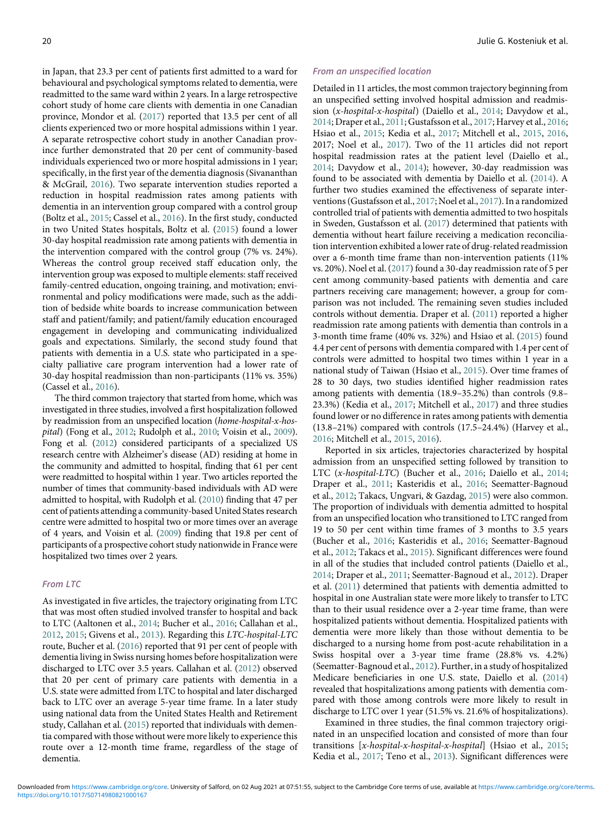in Japan, that 23.3 per cent of patients first admitted to a ward for behavioural and psychological symptoms related to dementia, were readmitted to the same ward within 2 years. In a large retrospective cohort study of home care clients with dementia in one Canadian province, Mondor et al. ([2017\)](#page-24-22) reported that 13.5 per cent of all clients experienced two or more hospital admissions within 1 year. A separate retrospective cohort study in another Canadian province further demonstrated that 20 per cent of community-based individuals experienced two or more hospital admissions in 1 year; specifically, in the first year of the dementia diagnosis (Sivananthan & McGrail, [2016](#page-25-10)). Two separate intervention studies reported a reduction in hospital readmission rates among patients with dementia in an intervention group compared with a control group (Boltz et al., [2015;](#page-23-8) Cassel et al., [2016\)](#page-24-12). In the first study, conducted in two United States hospitals, Boltz et al. [\(2015\)](#page-23-8) found a lower 30-day hospital readmission rate among patients with dementia in the intervention compared with the control group (7% vs. 24%). Whereas the control group received staff education only, the intervention group was exposed to multiple elements: staff received family-centred education, ongoing training, and motivation; environmental and policy modifications were made, such as the addition of bedside white boards to increase communication between staff and patient/family; and patient/family education encouraged engagement in developing and communicating individualized goals and expectations. Similarly, the second study found that patients with dementia in a U.S. state who participated in a specialty palliative care program intervention had a lower rate of 30-day hospital readmission than non-participants (11% vs. 35%) (Cassel et al., [2016\)](#page-24-12).

The third common trajectory that started from home, which was investigated in three studies, involved a first hospitalization followed by readmission from an unspecified location (home-hospital-x-hospital) (Fong et al., [2012;](#page-24-21) Rudolph et al., [2010;](#page-25-7) Voisin et al., [2009\)](#page-25-12). Fong et al. ([2012\)](#page-24-21) considered participants of a specialized US research centre with Alzheimer's disease (AD) residing at home in the community and admitted to hospital, finding that 61 per cent were readmitted to hospital within 1 year. Two articles reported the number of times that community-based individuals with AD were admitted to hospital, with Rudolph et al. [\(2010](#page-25-7)) finding that 47 per cent of patients attending a community-based United States research centre were admitted to hospital two or more times over an average of 4 years, and Voisin et al. [\(2009](#page-25-12)) finding that 19.8 per cent of participants of a prospective cohort study nationwide in France were hospitalized two times over 2 years.

# From LTC

As investigated in five articles, the trajectory originating from LTC that was most often studied involved transfer to hospital and back to LTC (Aaltonen et al., [2014;](#page-23-10) Bucher et al., [2016](#page-23-9); Callahan et al., [2012](#page-23-3), [2015;](#page-23-4) Givens et al., [2013](#page-24-17)). Regarding this LTC-hospital-LTC route, Bucher et al. [\(2016](#page-23-9)) reported that 91 per cent of people with dementia living in Swiss nursing homes before hospitalization were discharged to LTC over 3.5 years. Callahan et al. ([2012\)](#page-23-3) observed that 20 per cent of primary care patients with dementia in a U.S. state were admitted from LTC to hospital and later discharged back to LTC over an average 5-year time frame. In a later study using national data from the United States Health and Retirement study, Callahan et al. ([2015\)](#page-23-4) reported that individuals with dementia compared with those without were more likely to experience this route over a 12-month time frame, regardless of the stage of dementia.

#### From an unspecified location

Detailed in 11 articles, the most common trajectory beginning from an unspecified setting involved hospital admission and readmission (x-hospital-x-hospital) (Daiello et al., [2014;](#page-24-0) Davydow et al., [2014](#page-24-7); Draper et al., [2011](#page-24-15); Gustafsson et al., [2017;](#page-24-13) Harvey et al., [2016](#page-24-16); Hsiao et al., [2015;](#page-24-19) Kedia et al., [2017](#page-24-9); Mitchell et al., [2015,](#page-24-8) [2016](#page-24-18), 2017; Noel et al., [2017](#page-25-6)). Two of the 11 articles did not report hospital readmission rates at the patient level (Daiello et al., [2014](#page-24-0); Davydow et al., [2014](#page-24-7)); however, 30-day readmission was found to be associated with dementia by Daiello et al. [\(2014](#page-24-0)). A further two studies examined the effectiveness of separate interventions (Gustafsson et al., [2017;](#page-24-13) Noel et al., [2017](#page-25-6)). In a randomized controlled trial of patients with dementia admitted to two hospitals in Sweden, Gustafsson et al. ([2017\)](#page-24-13) determined that patients with dementia without heart failure receiving a medication reconciliation intervention exhibited a lower rate of drug-related readmission over a 6-month time frame than non-intervention patients (11% vs. 20%). Noel et al. [\(2017\)](#page-25-6) found a 30-day readmission rate of 5 per cent among community-based patients with dementia and care partners receiving care management; however, a group for comparison was not included. The remaining seven studies included controls without dementia. Draper et al. [\(2011](#page-24-15)) reported a higher readmission rate among patients with dementia than controls in a 3-month time frame (40% vs. 32%) and Hsiao et al. ([2015\)](#page-24-19) found 4.4 per cent of persons with dementia compared with 1.4 per cent of controls were admitted to hospital two times within 1 year in a national study of Taiwan (Hsiao et al., [2015\)](#page-24-19). Over time frames of 28 to 30 days, two studies identified higher readmission rates among patients with dementia (18.9–35.2%) than controls (9.8– 23.3%) (Kedia et al., [2017;](#page-24-9) Mitchell et al., [2017](#page-24-24)) and three studies found lower or no difference in rates among patients with dementia (13.8–21%) compared with controls (17.5–24.4%) (Harvey et al., [2016](#page-24-16); Mitchell et al., [2015](#page-24-8), [2016\)](#page-24-18).

Reported in six articles, trajectories characterized by hospital admission from an unspecified setting followed by transition to LTC (x-hospital-LTC) (Bucher et al., [2016;](#page-23-9) Daiello et al., [2014](#page-24-0); Draper et al., [2011](#page-24-15); Kasteridis et al., [2016;](#page-24-2) Seematter-Bagnoud et al., [2012](#page-25-8); Takacs, Ungvari, & Gazdag, [2015\)](#page-25-3) were also common. The proportion of individuals with dementia admitted to hospital from an unspecified location who transitioned to LTC ranged from 19 to 50 per cent within time frames of 3 months to 3.5 years (Bucher et al., [2016](#page-23-9); Kasteridis et al., [2016;](#page-24-2) Seematter-Bagnoud et al., [2012](#page-25-8); Takacs et al., [2015\)](#page-25-3). Significant differences were found in all of the studies that included control patients (Daiello et al., [2014](#page-24-0); Draper et al., [2011](#page-24-15); Seematter-Bagnoud et al., [2012\)](#page-25-8). Draper et al. ([2011\)](#page-24-15) determined that patients with dementia admitted to hospital in one Australian state were more likely to transfer to LTC than to their usual residence over a 2-year time frame, than were hospitalized patients without dementia. Hospitalized patients with dementia were more likely than those without dementia to be discharged to a nursing home from post-acute rehabilitation in a Swiss hospital over a 3-year time frame (28.8% vs. 4.2%) (Seematter-Bagnoud et al., [2012\)](#page-25-8). Further, in a study of hospitalized Medicare beneficiaries in one U.S. state, Daiello et al. ([2014\)](#page-24-0) revealed that hospitalizations among patients with dementia compared with those among controls were more likely to result in discharge to LTC over 1 year (51.5% vs. 21.6% of hospitalizations).

Examined in three studies, the final common trajectory originated in an unspecified location and consisted of more than four transitions [x-hospital-x-hospital-x-hospital] (Hsiao et al., [2015](#page-24-19); Kedia et al., [2017](#page-24-9); Teno et al., [2013](#page-25-13)). Significant differences were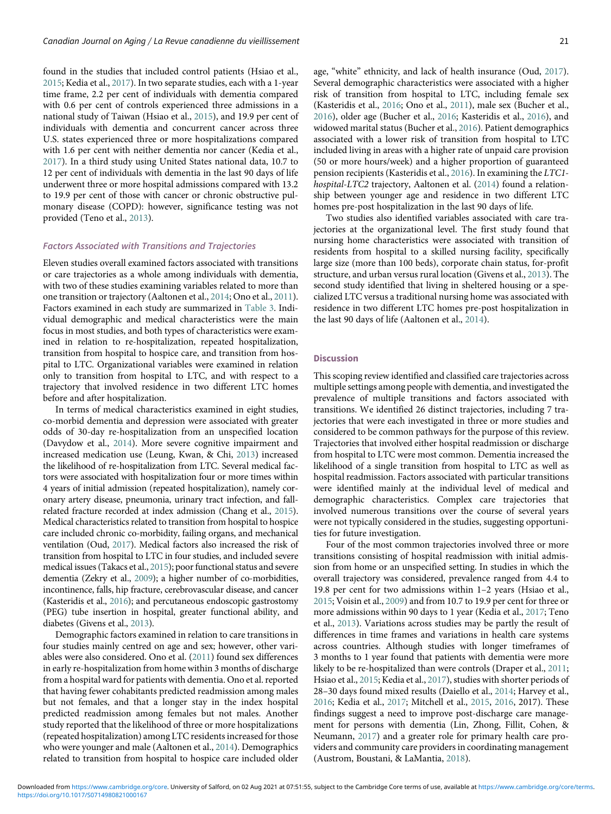found in the studies that included control patients (Hsiao et al., [2015;](#page-24-19) Kedia et al., [2017\)](#page-24-9). In two separate studies, each with a 1-year time frame, 2.2 per cent of individuals with dementia compared with 0.6 per cent of controls experienced three admissions in a national study of Taiwan (Hsiao et al., [2015\)](#page-24-19), and 19.9 per cent of individuals with dementia and concurrent cancer across three U.S. states experienced three or more hospitalizations compared with 1.6 per cent with neither dementia nor cancer (Kedia et al., [2017\)](#page-24-9). In a third study using United States national data, 10.7 to 12 per cent of individuals with dementia in the last 90 days of life underwent three or more hospital admissions compared with 13.2 to 19.9 per cent of those with cancer or chronic obstructive pulmonary disease (COPD): however, significance testing was not provided (Teno et al., [2013\)](#page-25-13).

#### Factors Associated with Transitions and Trajectories

Eleven studies overall examined factors associated with transitions or care trajectories as a whole among individuals with dementia, with two of these studies examining variables related to more than one transition or trajectory (Aaltonen et al., [2014;](#page-23-10) Ono et al., [2011\)](#page-25-11). Factors examined in each study are summarized in [Table 3](#page-7-0). Individual demographic and medical characteristics were the main focus in most studies, and both types of characteristics were examined in relation to re-hospitalization, repeated hospitalization, transition from hospital to hospice care, and transition from hospital to LTC. Organizational variables were examined in relation only to transition from hospital to LTC, and with respect to a trajectory that involved residence in two different LTC homes before and after hospitalization.

In terms of medical characteristics examined in eight studies, co-morbid dementia and depression were associated with greater odds of 30-day re-hospitalization from an unspecified location (Davydow et al., [2014](#page-24-7)). More severe cognitive impairment and increased medication use (Leung, Kwan, & Chi, [2013](#page-24-23)) increased the likelihood of re-hospitalization from LTC. Several medical factors were associated with hospitalization four or more times within 4 years of initial admission (repeated hospitalization), namely coronary artery disease, pneumonia, urinary tract infection, and fallrelated fracture recorded at index admission (Chang et al., [2015\)](#page-24-14). Medical characteristics related to transition from hospital to hospice care included chronic co-morbidity, failing organs, and mechanical ventilation (Oud, [2017](#page-25-9)). Medical factors also increased the risk of transition from hospital to LTC in four studies, and included severe medical issues (Takacs et al., [2015\)](#page-25-3); poor functional status and severe dementia (Zekry et al., [2009](#page-25-5)); a higher number of co-morbidities, incontinence, falls, hip fracture, cerebrovascular disease, and cancer (Kasteridis et al., [2016](#page-24-2)); and percutaneous endoscopic gastrostomy (PEG) tube insertion in hospital, greater functional ability, and diabetes (Givens et al., [2013\)](#page-24-17).

Demographic factors examined in relation to care transitions in four studies mainly centred on age and sex; however, other variables were also considered. Ono et al. ([2011](#page-25-11)) found sex differences in early re-hospitalization from home within 3 months of discharge from a hospital ward for patients with dementia. Ono et al. reported that having fewer cohabitants predicted readmission among males but not females, and that a longer stay in the index hospital predicted readmission among females but not males. Another study reported that the likelihood of three or more hospitalizations (repeated hospitalization) among LTC residents increased for those who were younger and male (Aaltonen et al., [2014\)](#page-23-10). Demographics related to transition from hospital to hospice care included older age, "white" ethnicity, and lack of health insurance (Oud, [2017\)](#page-25-9). Several demographic characteristics were associated with a higher risk of transition from hospital to LTC, including female sex (Kasteridis et al., [2016;](#page-24-2) Ono et al., [2011\)](#page-25-11), male sex (Bucher et al., [2016\)](#page-23-9), older age (Bucher et al., [2016;](#page-23-9) Kasteridis et al., [2016](#page-24-2)), and widowed marital status (Bucher et al., [2016](#page-23-9)). Patient demographics associated with a lower risk of transition from hospital to LTC included living in areas with a higher rate of unpaid care provision (50 or more hours/week) and a higher proportion of guaranteed pension recipients (Kasteridis et al., [2016](#page-24-2)). In examining the LTC1 hospital-LTC2 trajectory, Aaltonen et al. ([2014](#page-23-10)) found a relationship between younger age and residence in two different LTC homes pre-post hospitalization in the last 90 days of life.

Two studies also identified variables associated with care trajectories at the organizational level. The first study found that nursing home characteristics were associated with transition of residents from hospital to a skilled nursing facility, specifically large size (more than 100 beds), corporate chain status, for-profit structure, and urban versus rural location (Givens et al., [2013\)](#page-24-17). The second study identified that living in sheltered housing or a specialized LTC versus a traditional nursing home was associated with residence in two different LTC homes pre-post hospitalization in the last 90 days of life (Aaltonen et al., [2014](#page-23-10)).

# **Discussion**

This scoping review identified and classified care trajectories across multiple settings among people with dementia, and investigated the prevalence of multiple transitions and factors associated with transitions. We identified 26 distinct trajectories, including 7 trajectories that were each investigated in three or more studies and considered to be common pathways for the purpose of this review. Trajectories that involved either hospital readmission or discharge from hospital to LTC were most common. Dementia increased the likelihood of a single transition from hospital to LTC as well as hospital readmission. Factors associated with particular transitions were identified mainly at the individual level of medical and demographic characteristics. Complex care trajectories that involved numerous transitions over the course of several years were not typically considered in the studies, suggesting opportunities for future investigation.

Four of the most common trajectories involved three or more transitions consisting of hospital readmission with initial admission from home or an unspecified setting. In studies in which the overall trajectory was considered, prevalence ranged from 4.4 to 19.8 per cent for two admissions within 1–2 years (Hsiao et al., [2015;](#page-24-19) Voisin et al., [2009\)](#page-25-12) and from 10.7 to 19.9 per cent for three or more admissions within 90 days to 1 year (Kedia et al., [2017](#page-24-9); Teno et al., [2013](#page-25-13)). Variations across studies may be partly the result of differences in time frames and variations in health care systems across countries. Although studies with longer timeframes of 3 months to 1 year found that patients with dementia were more likely to be re-hospitalized than were controls (Draper et al., [2011;](#page-24-15) Hsiao et al., [2015;](#page-24-19) Kedia et al., [2017\)](#page-24-9), studies with shorter periods of 28–30 days found mixed results (Daiello et al., [2014](#page-24-0); Harvey et al., [2016;](#page-24-16) Kedia et al., [2017;](#page-24-9) Mitchell et al., [2015,](#page-24-8) [2016](#page-24-18), 2017). These findings suggest a need to improve post-discharge care management for persons with dementia (Lin, Zhong, Fillit, Cohen, & Neumann, [2017](#page-24-14)) and a greater role for primary health care providers and community care providers in coordinating management (Austrom, Boustani, & LaMantia, [2018](#page-23-16)).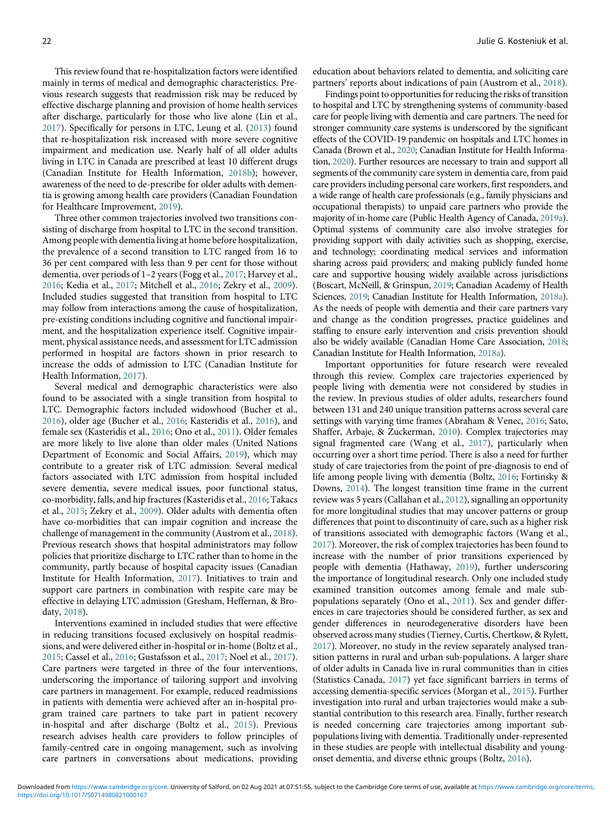This review found that re-hospitalization factors were identified mainly in terms of medical and demographic characteristics. Previous research suggests that readmission risk may be reduced by effective discharge planning and provision of home health services after discharge, particularly for those who live alone (Lin et al., [2017](#page-24-14)). Specifically for persons in LTC, Leung et al. [\(2013](#page-24-23)) found that re-hospitalization risk increased with more severe cognitive impairment and medication use. Nearly half of all older adults living in LTC in Canada are prescribed at least 10 different drugs (Canadian Institute for Health Information, [2018b\)](#page-24-19); however, awareness of the need to de-prescribe for older adults with dementia is growing among health care providers (Canadian Foundation for Healthcare Improvement, [2019\)](#page-24-43).

Three other common trajectories involved two transitions consisting of discharge from hospital to LTC in the second transition. Among people with dementia living at home before hospitalization, the prevalence of a second transition to LTC ranged from 16 to 36 per cent compared with less than 9 per cent for those without dementia, over periods of 1–2 years (Fogg et al., [2017;](#page-24-20) Harvey et al., [2016](#page-24-16); Kedia et al., [2017;](#page-24-9) Mitchell et al., [2016](#page-24-18); Zekry et al., [2009\)](#page-25-5). Included studies suggested that transition from hospital to LTC may follow from interactions among the cause of hospitalization, pre-existing conditions including cognitive and functional impairment, and the hospitalization experience itself. Cognitive impairment, physical assistance needs, and assessment for LTC admission performed in hospital are factors shown in prior research to increase the odds of admission to LTC (Canadian Institute for Health Information, [2017\)](#page-24-44).

Several medical and demographic characteristics were also found to be associated with a single transition from hospital to LTC. Demographic factors included widowhood (Bucher et al., [2016](#page-23-9)), older age (Bucher et al., [2016;](#page-23-9) Kasteridis et al., [2016\)](#page-24-2), and female sex (Kasteridis et al., [2016;](#page-24-2) Ono et al., [2011](#page-25-11)). Older females are more likely to live alone than older males (United Nations Department of Economic and Social Affairs, [2019](#page-25-2)), which may contribute to a greater risk of LTC admission. Several medical factors associated with LTC admission from hospital included severe dementia, severe medical issues, poor functional status, co-morbidity, falls, and hip fractures (Kasteridis et al., [2016](#page-24-2); Takacs et al., [2015](#page-25-3); Zekry et al., [2009\)](#page-25-5). Older adults with dementia often have co-morbidities that can impair cognition and increase the challenge of management in the community (Austrom et al., [2018\)](#page-23-16). Previous research shows that hospital administrators may follow policies that prioritize discharge to LTC rather than to home in the community, partly because of hospital capacity issues (Canadian Institute for Health Information, [2017](#page-24-44)). Initiatives to train and support care partners in combination with respite care may be effective in delaying LTC admission (Gresham, Heffernan, & Brodaty, [2018](#page-24-45)).

Interventions examined in included studies that were effective in reducing transitions focused exclusively on hospital readmissions, and were delivered either in-hospital or in-home (Boltz et al., [2015](#page-23-8); Cassel et al., [2016;](#page-24-12) Gustafsson et al., [2017;](#page-24-13) Noel et al., [2017\)](#page-25-6). Care partners were targeted in three of the four interventions, underscoring the importance of tailoring support and involving care partners in management. For example, reduced readmissions in patients with dementia were achieved after an in-hospital program trained care partners to take part in patient recovery in-hospital and after discharge (Boltz et al., [2015\)](#page-23-8). Previous research advises health care providers to follow principles of family-centred care in ongoing management, such as involving care partners in conversations about medications, providing education about behaviors related to dementia, and soliciting care partners' reports about indications of pain (Austrom et al., [2018](#page-23-16)).

Findings point to opportunities for reducing the risks of transition to hospital and LTC by strengthening systems of community-based care for people living with dementia and care partners. The need for stronger community care systems is underscored by the significant effects of the COVID-19 pandemic on hospitals and LTC homes in Canada (Brown et al., [2020;](#page-23-0) Canadian Institute for Health Information, [2020\)](#page-24-2). Further resources are necessary to train and support all segments of the community care system in dementia care, from paid care providers including personal care workers, first responders, and a wide range of health care professionals (e.g., family physicians and occupational therapists) to unpaid care partners who provide the majority of in-home care (Public Health Agency of Canada, [2019a\)](#page-25-13). Optimal systems of community care also involve strategies for providing support with daily activities such as shopping, exercise, and technology; coordinating medical services and information sharing across paid providers; and making publicly funded home care and supportive housing widely available across jurisdictions (Boscart, McNeill, & Grinspun, [2019;](#page-23-17) Canadian Academy of Health Sciences, [2019](#page-24-45); Canadian Institute for Health Information, [2018a\)](#page-24-1). As the needs of people with dementia and their care partners vary and change as the condition progresses, practice guidelines and staffing to ensure early intervention and crisis prevention should also be widely available (Canadian Home Care Association, [2018](#page-24-16); Canadian Institute for Health Information, [2018a\)](#page-24-1).

Important opportunities for future research were revealed through this review. Complex care trajectories experienced by people living with dementia were not considered by studies in the review. In previous studies of older adults, researchers found between 131 and 240 unique transition patterns across several care settings with varying time frames (Abraham & Venec, [2016](#page-23-18); Sato, Shaffer, Arbaje, & Zuckerman, [2010](#page-25-24)). Complex trajectories may signal fragmented care (Wang et al., [2017\)](#page-25-1), particularly when occurring over a short time period. There is also a need for further study of care trajectories from the point of pre-diagnosis to end of life among people living with dementia (Boltz, [2016;](#page-23-19) Fortinsky & Downs, [2014](#page-24-3)). The longest transition time frame in the current review was 5 years (Callahan et al., [2012\)](#page-23-3), signalling an opportunity for more longitudinal studies that may uncover patterns or group differences that point to discontinuity of care, such as a higher risk of transitions associated with demographic factors (Wang et al., [2017](#page-25-1)). Moreover, the risk of complex trajectories has been found to increase with the number of prior transitions experienced by people with dementia (Hathaway, [2019](#page-24-46)), further underscoring the importance of longitudinal research. Only one included study examined transition outcomes among female and male subpopulations separately (Ono et al., [2011\)](#page-25-11). Sex and gender differences in care trajectories should be considered further, as sex and gender differences in neurodegenerative disorders have been observed across many studies (Tierney, Curtis, Chertkow, & Rylett, [2017](#page-25-0)). Moreover, no study in the review separately analysed transition patterns in rural and urban sub-populations. A larger share of older adults in Canada live in rural communities than in cities (Statistics Canada, [2017\)](#page-25-25) yet face significant barriers in terms of accessing dementia-specific services (Morgan et al., [2015](#page-24-3)). Further investigation into rural and urban trajectories would make a substantial contribution to this research area. Finally, further research is needed concerning care trajectories among important subpopulations living with dementia. Traditionally under-represented in these studies are people with intellectual disability and youngonset dementia, and diverse ethnic groups (Boltz, [2016](#page-23-19)).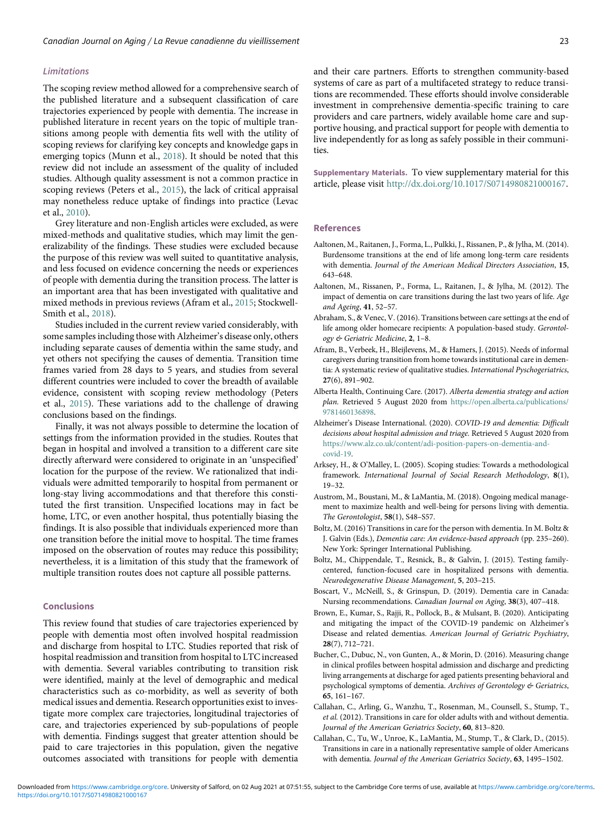# <span id="page-23-15"></span><span id="page-23-14"></span>Limitations

The scoping review method allowed for a comprehensive search of the published literature and a subsequent classification of care trajectories experienced by people with dementia. The increase in published literature in recent years on the topic of multiple transitions among people with dementia fits well with the utility of scoping reviews for clarifying key concepts and knowledge gaps in emerging topics (Munn et al., [2018\)](#page-25-26). It should be noted that this review did not include an assessment of the quality of included studies. Although quality assessment is not a common practice in scoping reviews (Peters et al., [2015\)](#page-25-27), the lack of critical appraisal may nonetheless reduce uptake of findings into practice (Levac et al., [2010](#page-24-10)).

<span id="page-23-10"></span>Grey literature and non-English articles were excluded, as were mixed-methods and qualitative studies, which may limit the generalizability of the findings. These studies were excluded because the purpose of this review was well suited to quantitative analysis, and less focused on evidence concerning the needs or experiences of people with dementia during the transition process. The latter is an important area that has been investigated with qualitative and mixed methods in previous reviews (Afram et al., [2015;](#page-23-6) Stockwell-Smith et al., [2018](#page-25-27)).

<span id="page-23-18"></span><span id="page-23-6"></span><span id="page-23-2"></span>Studies included in the current review varied considerably, with some samples including those with Alzheimer's disease only, others including separate causes of dementia within the same study, and yet others not specifying the causes of dementia. Transition time frames varied from 28 days to 5 years, and studies from several different countries were included to cover the breadth of available evidence, consistent with scoping review methodology (Peters et al., [2015\)](#page-25-27). These variations add to the challenge of drawing conclusions based on the findings.

<span id="page-23-19"></span><span id="page-23-16"></span><span id="page-23-7"></span><span id="page-23-5"></span><span id="page-23-1"></span>Finally, it was not always possible to determine the location of settings from the information provided in the studies. Routes that began in hospital and involved a transition to a different care site directly afterward were considered to originate in an 'unspecified' location for the purpose of the review. We rationalized that individuals were admitted temporarily to hospital from permanent or long-stay living accommodations and that therefore this constituted the first transition. Unspecified locations may in fact be home, LTC, or even another hospital, thus potentially biasing the findings. It is also possible that individuals experienced more than one transition before the initial move to hospital. The time frames imposed on the observation of routes may reduce this possibility; nevertheless, it is a limitation of this study that the framework of multiple transition routes does not capture all possible patterns.

## <span id="page-23-17"></span><span id="page-23-8"></span><span id="page-23-0"></span>Conclusions

<span id="page-23-9"></span><span id="page-23-4"></span><span id="page-23-3"></span>This review found that studies of care trajectories experienced by people with dementia most often involved hospital readmission and discharge from hospital to LTC. Studies reported that risk of hospital readmission and transition from hospital to LTC increased with dementia. Several variables contributing to transition risk were identified, mainly at the level of demographic and medical characteristics such as co-morbidity, as well as severity of both medical issues and dementia. Research opportunities exist to investigate more complex care trajectories, longitudinal trajectories of care, and trajectories experienced by sub-populations of people with dementia. Findings suggest that greater attention should be paid to care trajectories in this population, given the negative outcomes associated with transitions for people with dementia <span id="page-23-13"></span><span id="page-23-12"></span><span id="page-23-11"></span>and their care partners. Efforts to strengthen community-based systems of care as part of a multifaceted strategy to reduce transitions are recommended. These efforts should involve considerable investment in comprehensive dementia-specific training to care providers and care partners, widely available home care and supportive housing, and practical support for people with dementia to live independently for as long as safely possible in their communities.

Supplementary Materials. To view supplementary material for this article, please visit <http://dx.doi.org/10.1017/S0714980821000167>.

# References

- Aaltonen, M., Raitanen, J., Forma, L., Pulkki, J., Rissanen, P., & Jylha, M. (2014). Burdensome transitions at the end of life among long-term care residents with dementia. Journal of the American Medical Directors Association, 15, 643–648.
- Aaltonen, M., Rissanen, P., Forma, L., Raitanen, J., & Jylha, M. (2012). The impact of dementia on care transitions during the last two years of life. Age and Ageing, 41, 52–57.
- Abraham, S., & Venec, V. (2016). Transitions between care settings at the end of life among older homecare recipients: A population-based study. Gerontology & Geriatric Medicine, 2, 1–8.
- Afram, B., Verbeek, H., Bleijlevens, M., & Hamers, J. (2015). Needs of informal caregivers during transition from home towards institutional care in dementia: A systematic review of qualitative studies. International Pyschogeriatrics, 27(6), 891–902.
- Alberta Health, Continuing Care. (2017). Alberta dementia strategy and action plan. Retrieved 5 August 2020 from [https://open.alberta.ca/publications/](https://open.alberta.ca/publications/9781460136898) [9781460136898](https://open.alberta.ca/publications/9781460136898).
- Alzheimer's Disease International. (2020). COVID-19 and dementia: Difficult decisions about hospital admission and triage. Retrieved 5 August 2020 from [https://www.alz.co.uk/content/adi-position-papers-on-dementia-and](https://www.alz.co.uk/content/adi-position-papers-on-dementia-and-covid-19)[covid-19](https://www.alz.co.uk/content/adi-position-papers-on-dementia-and-covid-19).
- Arksey, H., & O'Malley, L. (2005). Scoping studies: Towards a methodological framework. International Journal of Social Research Methodology, 8(1), 19–32.
- Austrom, M., Boustani, M., & LaMantia, M. (2018). Ongoing medical management to maximize health and well-being for persons living with dementia. The Gerontologist, 58(1), S48–S57.
- Boltz, M. (2016) Transitions in care for the person with dementia. In M. Boltz & J. Galvin (Eds.), Dementia care: An evidence-based approach (pp. 235–260). New York: Springer International Publishing.
- Boltz, M., Chippendale, T., Resnick, B., & Galvin, J. (2015). Testing familycentered, function-focused care in hospitalized persons with dementia. Neurodegenerative Disease Management, 5, 203–215.
- Boscart, V., McNeill, S., & Grinspun, D. (2019). Dementia care in Canada: Nursing recommendations. Canadian Journal on Aging, 38(3), 407–418.
- Brown, E., Kumar, S., Rajji, R., Pollock, B., & Mulsant, B. (2020). Anticipating and mitigating the impact of the COVID-19 pandemic on Alzheimer's Disease and related dementias. American Journal of Geriatric Psychiatry, 28(7), 712–721.
- Bucher, C., Dubuc, N., von Gunten, A., & Morin, D. (2016). Measuring change in clinical profiles between hospital admission and discharge and predicting living arrangements at discharge for aged patients presenting behavioral and psychological symptoms of dementia. Archives of Gerontology & Geriatrics, 65, 161–167.
- Callahan, C., Arling, G., Wanzhu, T., Rosenman, M., Counsell, S., Stump, T., et al. (2012). Transitions in care for older adults with and without dementia. Journal of the American Geriatrics Society, 60, 813–820.
- Callahan, C., Tu, W., Unroe, K., LaMantia, M., Stump, T., & Clark, D., (2015). Transitions in care in a nationally representative sample of older Americans with dementia. Journal of the American Geriatrics Society, 63, 1495–1502.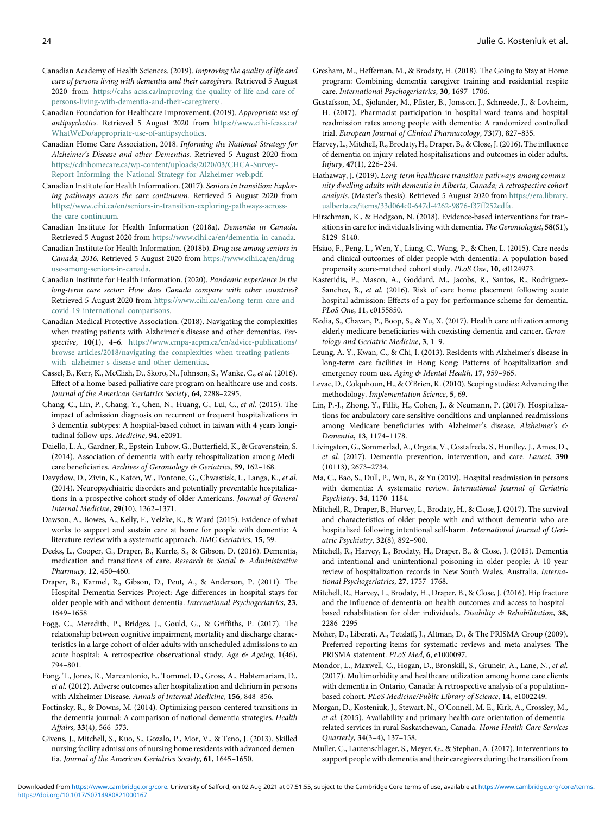- <span id="page-24-45"></span><span id="page-24-42"></span><span id="page-24-32"></span><span id="page-24-31"></span>Canadian Academy of Health Sciences. (2019). Improving the quality of life and care of persons living with dementia and their caregivers. Retrieved 5 August 2020 from [https://cahs-acss.ca/improving-the-quality-of-life-and-care-of](https://cahs-acss.ca/improving-the-quality-of-life-and-care-of-persons-living-with-dementia-and-their-caregivers/)[persons-living-with-dementia-and-their-caregivers/.](https://cahs-acss.ca/improving-the-quality-of-life-and-care-of-persons-living-with-dementia-and-their-caregivers/)
- <span id="page-24-43"></span><span id="page-24-13"></span>Canadian Foundation for Healthcare Improvement. (2019). Appropriate use of antipsychotics. Retrieved 5 August 2020 from [https://www.cfhi-fcass.ca/](https://www.cfhi-fcass.ca/WhatWeDo/appropriate-use-of-antipsychotics) [WhatWeDo/appropriate-use-of-antipsychotics.](https://www.cfhi-fcass.ca/WhatWeDo/appropriate-use-of-antipsychotics)
- <span id="page-24-16"></span>Canadian Home Care Association, 2018. Informing the National Strategy for Alzheimer's Disease and other Dementias. Retrieved 5 August 2020 from [https://cdnhomecare.ca/wp-content/uploads/2020/03/CHCA-Survey-](https://cdnhomecare.ca/wp-content/uploads/2020/03/CHCA-Survey-Report-Informing-the-National-Strategy-for-Alzheimer-web.pdf)[Report-Informing-the-National-Strategy-for-Alzheimer-web.pdf.](https://cdnhomecare.ca/wp-content/uploads/2020/03/CHCA-Survey-Report-Informing-the-National-Strategy-for-Alzheimer-web.pdf)
- <span id="page-24-46"></span><span id="page-24-44"></span>Canadian Institute for Health Information. (2017). Seniors in transition: Exploring pathways across the care continuum. Retrieved 5 August 2020 from [https://www.cihi.ca/en/seniors-in-transition-exploring-pathways-across](https://www.cihi.ca/en/seniors-in-transition-exploring-pathways-across-the-care-continuum)[the-care-continuum.](https://www.cihi.ca/en/seniors-in-transition-exploring-pathways-across-the-care-continuum)
- <span id="page-24-5"></span><span id="page-24-1"></span>Canadian Institute for Health Information (2018a). Dementia in Canada. Retrieved 5 August 2020 from [https://www.cihi.ca/en/dementia-in-canada.](https://www.cihi.ca/en/dementia-in-canada)
- <span id="page-24-19"></span>Canadian Institute for Health Information. (2018b). Drug use among seniors in Canada, 2016. Retrieved 5 August 2020 from [https://www.cihi.ca/en/drug](https://www.cihi.ca/en/drug-use-among-seniors-in-canada)[use-among-seniors-in-canada.](https://www.cihi.ca/en/drug-use-among-seniors-in-canada)
- <span id="page-24-2"></span>Canadian Institute for Health Information. (2020). Pandemic experience in the long-term care sector: How does Canada compare with other countries? Retrieved 5 August 2020 from [https://www.cihi.ca/en/long-term-care-and](https://www.cihi.ca/en/long-term-care-and-covid-19-international-comparisons)[covid-19-international-comparisons.](https://www.cihi.ca/en/long-term-care-and-covid-19-international-comparisons)
- <span id="page-24-23"></span><span id="page-24-9"></span>Canadian Medical Protective Association. (2018). Navigating the complexities when treating patients with Alzheimer's disease and other dementias. Perspective, 10(1), 4–6. [https://www.cmpa-acpm.ca/en/advice-publications/](https://www.cmpa-acpm.ca/en/advice-publications/browse-articles/2018/navigating-the-complexities-when-treating-patients-with--alzheimer-s-disease-and-other-dementias) [browse-articles/2018/navigating-the-complexities-when-treating-patients](https://www.cmpa-acpm.ca/en/advice-publications/browse-articles/2018/navigating-the-complexities-when-treating-patients-with--alzheimer-s-disease-and-other-dementias)[with--alzheimer-s-disease-and-other-dementias](https://www.cmpa-acpm.ca/en/advice-publications/browse-articles/2018/navigating-the-complexities-when-treating-patients-with--alzheimer-s-disease-and-other-dementias).
- <span id="page-24-12"></span><span id="page-24-10"></span>Cassel, B., Kerr, K., McClish, D., Skoro, N., Johnson, S., Wanke, C., et al. (2016). Effect of a home-based palliative care program on healthcare use and costs. Journal of the American Geriatrics Society, 64, 2288–2295.
- <span id="page-24-14"></span>Chang, C., Lin, P., Chang, Y., Chen, N., Huang, C., Lui, C., et al. (2015). The impact of admission diagnosis on recurrent or frequent hospitalizations in 3 dementia subtypes: A hospital-based cohort in taiwan with 4 years longitudinal follow-ups. Medicine, 94, e2091.
- <span id="page-24-0"></span>Daiello, L. A., Gardner, R., Epstein-Lubow, G., Butterfield, K., & Gravenstein, S. (2014). Association of dementia with early rehospitalization among Medicare beneficiaries. Archives of Gerontology & Geriatrics, 59, 162-168.
- <span id="page-24-24"></span><span id="page-24-7"></span>Davydow, D., Zivin, K., Katon, W., Pontone, G., Chwastiak, L., Langa, K., et al. (2014). Neuropsychiatric disorders and potentially preventable hospitalizations in a prospective cohort study of older Americans. Journal of General Internal Medicine, 29(10), 1362–1371.
- <span id="page-24-4"></span>Dawson, A., Bowes, A., Kelly, F., Velzke, K., & Ward (2015). Evidence of what works to support and sustain care at home for people with dementia: A literature review with a systematic approach. BMC Geriatrics, 15, 59.
- <span id="page-24-8"></span>Deeks, L., Cooper, G., Draper, B., Kurrle, S., & Gibson, D. (2016). Dementia, medication and transitions of care. Research in Social & Administrative Pharmacy, 12, 450–460.
- <span id="page-24-18"></span><span id="page-24-15"></span>Draper, B., Karmel, R., Gibson, D., Peut, A., & Anderson, P. (2011). The Hospital Dementia Services Project: Age differences in hospital stays for older people with and without dementia. International Psychogeriatrics, 23, 1649–1658
- <span id="page-24-22"></span><span id="page-24-20"></span><span id="page-24-11"></span>Fogg, C., Meredith, P., Bridges, J., Gould, G., & Griffiths, P. (2017). The relationship between cognitive impairment, mortality and discharge characteristics in a large cohort of older adults with unscheduled admissions to an acute hospital: A retrospective observational study. Age & Ageing, 1(46), 794–801.
- <span id="page-24-21"></span><span id="page-24-3"></span>Fong, T., Jones, R., Marcantonio, E., Tommet, D., Gross, A., Habtemariam, D., et al. (2012). Adverse outcomes after hospitalization and delirium in persons with Alzheimer Disease. Annals of Internal Medicine, 156, 848–856.
- Fortinsky, R., & Downs, M. (2014). Optimizing person-centered transitions in the dementia journal: A comparison of national dementia strategies. Health Affairs, 33(4), 566–573.
- <span id="page-24-17"></span><span id="page-24-6"></span>Givens, J., Mitchell, S., Kuo, S., Gozalo, P., Mor, V., & Teno, J. (2013). Skilled nursing facility admissions of nursing home residents with advanced dementia. Journal of the American Geriatrics Society, 61, 1645–1650.
- <span id="page-24-41"></span><span id="page-24-40"></span><span id="page-24-39"></span><span id="page-24-38"></span><span id="page-24-37"></span><span id="page-24-36"></span><span id="page-24-35"></span><span id="page-24-34"></span><span id="page-24-33"></span><span id="page-24-30"></span><span id="page-24-29"></span><span id="page-24-28"></span><span id="page-24-27"></span><span id="page-24-26"></span><span id="page-24-25"></span>Gresham, M., Heffernan, M., & Brodaty, H. (2018). The Going to Stay at Home program: Combining dementia caregiver training and residential respite care. International Psychogeriatrics, 30, 1697-1706.
- Gustafsson, M., Sjolander, M., Pfister, B., Jonsson, J., Schneede, J., & Lovheim, H. (2017). Pharmacist participation in hospital ward teams and hospital readmission rates among people with dementia: A randomized controlled trial. European Journal of Clinical Pharmacology, 73(7), 827–835.
- Harvey, L., Mitchell, R., Brodaty, H., Draper, B., & Close, J. (2016). The influence of dementia on injury-related hospitalisations and outcomes in older adults. Injury, 47(1), 226–234.
- Hathaway, J. (2019). Long-term healthcare transition pathways among community dwelling adults with dementia in Alberta, Canada; A retrospective cohort analysis. (Master's thesis). Retrieved 5 August 2020 from [https://era.library.](https://era.library.ualberta.ca/items/33d064c0-647d-4262-9876-f37ff252edfa) [ualberta.ca/items/33d064c0-647d-4262-9876-f37ff252edfa.](https://era.library.ualberta.ca/items/33d064c0-647d-4262-9876-f37ff252edfa)
- Hirschman, K., & Hodgson, N. (2018). Evidence-based interventions for transitions in care for individuals living with dementia. The Gerontologist, 58(S1), S129–S140.
- Hsiao, F., Peng, L., Wen, Y., Liang, C., Wang, P., & Chen, L. (2015). Care needs and clinical outcomes of older people with dementia: A population-based propensity score-matched cohort study. PLoS One, 10, e0124973.
- Kasteridis, P., Mason, A., Goddard, M., Jacobs, R., Santos, R., Rodriguez-Sanchez, B., et al. (2016). Risk of care home placement following acute hospital admission: Effects of a pay-for-performance scheme for dementia. PLoS One, 11, e0155850.
- Kedia, S., Chavan, P., Boop, S., & Yu, X. (2017). Health care utilization among elderly medicare beneficiaries with coexisting dementia and cancer. Gerontology and Geriatric Medicine, 3, 1–9.
- Leung, A. Y., Kwan, C., & Chi, I. (2013). Residents with Alzheimer's disease in long-term care facilities in Hong Kong: Patterns of hospitalization and emergency room use. Aging & Mental Health, 17, 959-965.
- Levac, D., Colquhoun, H., & O'Brien, K. (2010). Scoping studies: Advancing the methodology. Implementation Science, 5, 69.
- Lin, P.-J., Zhong, Y., Fillit, H., Cohen, J., & Neumann, P. (2017). Hospitalizations for ambulatory care sensitive conditions and unplanned readmissions among Medicare beneficiaries with Alzheimer's disease. Alzheimer's & Dementia, 13, 1174–1178.
- Livingston, G., Sommerlad, A., Orgeta, V., Costafreda, S., Huntley, J., Ames, D., et al. (2017). Dementia prevention, intervention, and care. Lancet, 390 (10113), 2673–2734.
- Ma, C., Bao, S., Dull, P., Wu, B., & Yu (2019). Hospital readmission in persons with dementia: A systematic review. International Journal of Geriatric Psychiatry, 34, 1170–1184.
- Mitchell, R., Draper, B., Harvey, L., Brodaty, H., & Close, J. (2017). The survival and characteristics of older people with and without dementia who are hospitalised following intentional self-harm. International Journal of Geriatric Psychiatry, 32(8), 892–900.
- Mitchell, R., Harvey, L., Brodaty, H., Draper, B., & Close, J. (2015). Dementia and intentional and unintentional poisoning in older people: A 10 year review of hospitalization records in New South Wales, Australia. International Psychogeriatrics, 27, 1757–1768.
- Mitchell, R., Harvey, L., Brodaty, H., Draper, B., & Close, J. (2016). Hip fracture and the influence of dementia on health outcomes and access to hospitalbased rehabilitation for older individuals. Disability & Rehabilitation, 38, 2286–2295
- Moher, D., Liberati, A., Tetzlaff, J., Altman, D., & The PRISMA Group (2009). Preferred reporting items for systematic reviews and meta-analyses: The PRISMA statement. PLoS Med, 6, e1000097.
- Mondor, L., Maxwell, C., Hogan, D., Bronskill, S., Gruneir, A., Lane, N., et al. (2017). Multimorbidity and healthcare utilization among home care clients with dementia in Ontario, Canada: A retrospective analysis of a populationbased cohort. PLoS Medicine/Public Library of Science, 14, e1002249.
- Morgan, D., Kosteniuk, J., Stewart, N., O'Connell, M. E., Kirk, A., Crossley, M., et al. (2015). Availability and primary health care orientation of dementiarelated services in rural Saskatchewan, Canada. Home Health Care Services Quarterly, 34(3–4), 137–158.
- Muller, C., Lautenschlager, S., Meyer, G., & Stephan, A. (2017). Interventions to support people with dementia and their caregivers during the transition from